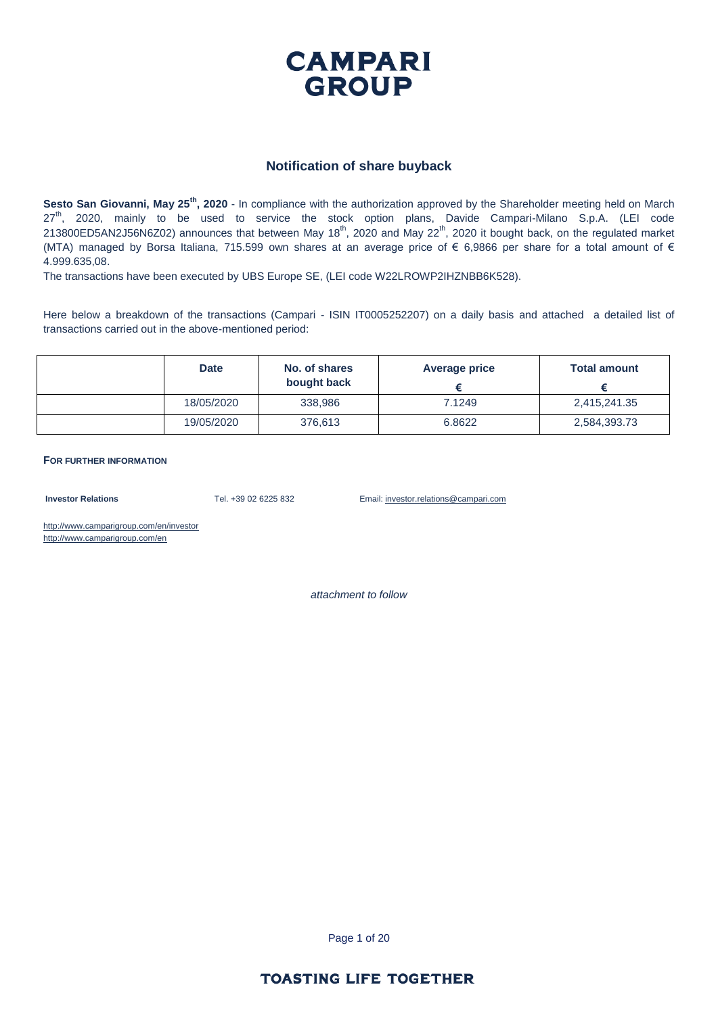

#### **Notification of share buyback**

**Sesto San Giovanni, May 25th, 2020** - In compliance with the authorization approved by the Shareholder meeting held on March 27<sup>th</sup>, 2020, mainly to be used to service the stock option plans, Davide Campari-Milano S.p.A. (LEI code 213800ED5AN2J56N6Z02) announces that between May 18<sup>th</sup>, 2020 and May 22<sup>th</sup>, 2020 it bought back, on the regulated market (MTA) managed by Borsa Italiana, 715.599 own shares at an average price of € 6,9866 per share for a total amount of € 4.999.635,08.

The transactions have been executed by UBS Europe SE, (LEI code W22LROWP2IHZNBB6K528).

Here below a breakdown of the transactions (Campari - ISIN IT0005252207) on a daily basis and attached a detailed list of transactions carried out in the above-mentioned period:

| <b>Date</b> | No. of shares<br>bought back | Average price | <b>Total amount</b> |
|-------------|------------------------------|---------------|---------------------|
| 18/05/2020  | 338,986                      | 7.1249        | 2,415,241.35        |
| 19/05/2020  | 376,613                      | 6.8622        | 2,584,393.73        |

**FOR FURTHER INFORMATION**

**Investor Relations** Tel. +39 02 6225 832 Email: investor.relations@campari.com

http://www.camparigroup.com/en/investor http://www.camparigroup.com/en

*attachment to follow*

Page 1 of 20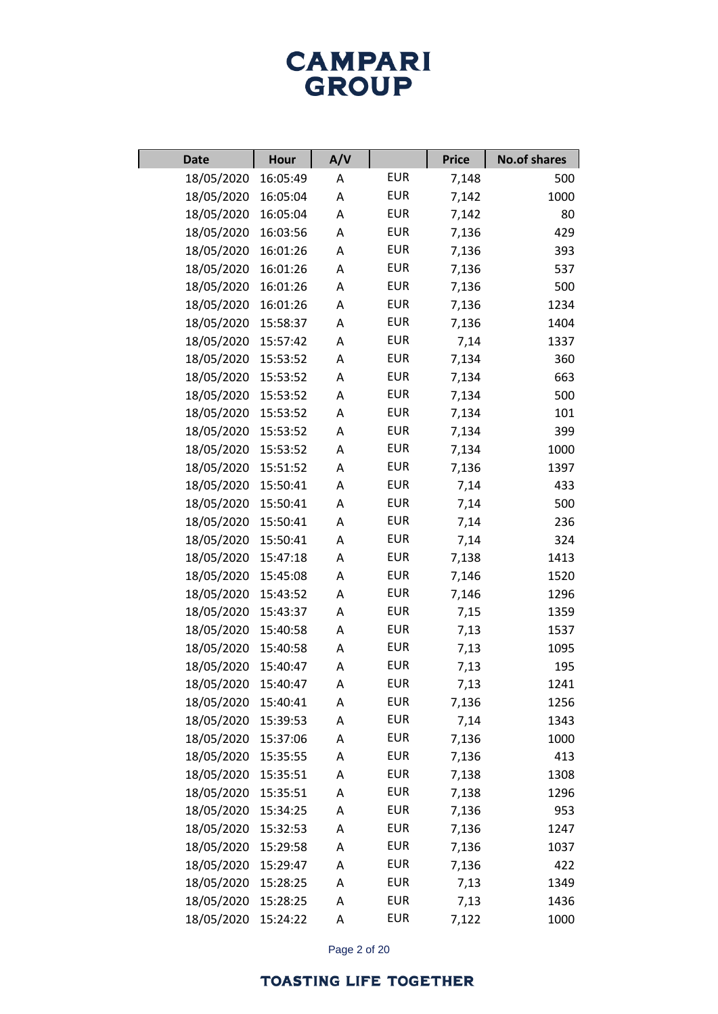| <b>Date</b>         | <b>Hour</b> | A/V |            | <b>Price</b> | <b>No.of shares</b> |
|---------------------|-------------|-----|------------|--------------|---------------------|
| 18/05/2020          | 16:05:49    | Α   | <b>EUR</b> | 7,148        | 500                 |
| 18/05/2020          | 16:05:04    | А   | <b>EUR</b> | 7,142        | 1000                |
| 18/05/2020          | 16:05:04    | Α   | <b>EUR</b> | 7,142        | 80                  |
| 18/05/2020          | 16:03:56    | А   | <b>EUR</b> | 7,136        | 429                 |
| 18/05/2020          | 16:01:26    | Α   | <b>EUR</b> | 7,136        | 393                 |
| 18/05/2020          | 16:01:26    | А   | <b>EUR</b> | 7,136        | 537                 |
| 18/05/2020          | 16:01:26    | Α   | <b>EUR</b> | 7,136        | 500                 |
| 18/05/2020          | 16:01:26    | А   | <b>EUR</b> | 7,136        | 1234                |
| 18/05/2020          | 15:58:37    | Α   | <b>EUR</b> | 7,136        | 1404                |
| 18/05/2020          | 15:57:42    | А   | <b>EUR</b> | 7,14         | 1337                |
| 18/05/2020          | 15:53:52    | Α   | <b>EUR</b> | 7,134        | 360                 |
| 18/05/2020          | 15:53:52    | А   | <b>EUR</b> | 7,134        | 663                 |
| 18/05/2020          | 15:53:52    | Α   | <b>EUR</b> | 7,134        | 500                 |
| 18/05/2020          | 15:53:52    | А   | <b>EUR</b> | 7,134        | 101                 |
| 18/05/2020          | 15:53:52    | Α   | <b>EUR</b> | 7,134        | 399                 |
| 18/05/2020          | 15:53:52    | А   | <b>EUR</b> | 7,134        | 1000                |
| 18/05/2020          | 15:51:52    | Α   | <b>EUR</b> | 7,136        | 1397                |
| 18/05/2020          | 15:50:41    | А   | <b>EUR</b> | 7,14         | 433                 |
| 18/05/2020          | 15:50:41    | Α   | <b>EUR</b> | 7,14         | 500                 |
| 18/05/2020          | 15:50:41    | А   | <b>EUR</b> | 7,14         | 236                 |
| 18/05/2020          | 15:50:41    | Α   | <b>EUR</b> | 7,14         | 324                 |
| 18/05/2020          | 15:47:18    | А   | <b>EUR</b> | 7,138        | 1413                |
| 18/05/2020          | 15:45:08    | А   | <b>EUR</b> | 7,146        | 1520                |
| 18/05/2020          | 15:43:52    | А   | <b>EUR</b> | 7,146        | 1296                |
| 18/05/2020          | 15:43:37    | А   | <b>EUR</b> | 7,15         | 1359                |
| 18/05/2020          | 15:40:58    | А   | <b>EUR</b> | 7,13         | 1537                |
| 18/05/2020          | 15:40:58    | А   | <b>EUR</b> | 7,13         | 1095                |
| 18/05/2020          | 15:40:47    | А   | <b>EUR</b> | 7,13         | 195                 |
| 18/05/2020 15:40:47 |             | А   | <b>EUR</b> | 7,13         | 1241                |
| 18/05/2020          | 15:40:41    | Α   | <b>EUR</b> | 7,136        | 1256                |
| 18/05/2020          | 15:39:53    | А   | <b>EUR</b> | 7,14         | 1343                |
| 18/05/2020          | 15:37:06    | А   | <b>EUR</b> | 7,136        | 1000                |
| 18/05/2020          | 15:35:55    | А   | <b>EUR</b> | 7,136        | 413                 |
| 18/05/2020          | 15:35:51    | А   | <b>EUR</b> | 7,138        | 1308                |
| 18/05/2020          | 15:35:51    | А   | <b>EUR</b> | 7,138        | 1296                |
| 18/05/2020          | 15:34:25    | А   | <b>EUR</b> | 7,136        | 953                 |
| 18/05/2020          | 15:32:53    | А   | <b>EUR</b> | 7,136        | 1247                |
| 18/05/2020          | 15:29:58    | А   | <b>EUR</b> | 7,136        | 1037                |
| 18/05/2020          | 15:29:47    | А   | <b>EUR</b> | 7,136        | 422                 |
| 18/05/2020          | 15:28:25    | А   | <b>EUR</b> | 7,13         | 1349                |
| 18/05/2020          | 15:28:25    | А   | <b>EUR</b> | 7,13         | 1436                |
| 18/05/2020          | 15:24:22    | А   | <b>EUR</b> | 7,122        | 1000                |

Page 2 of 20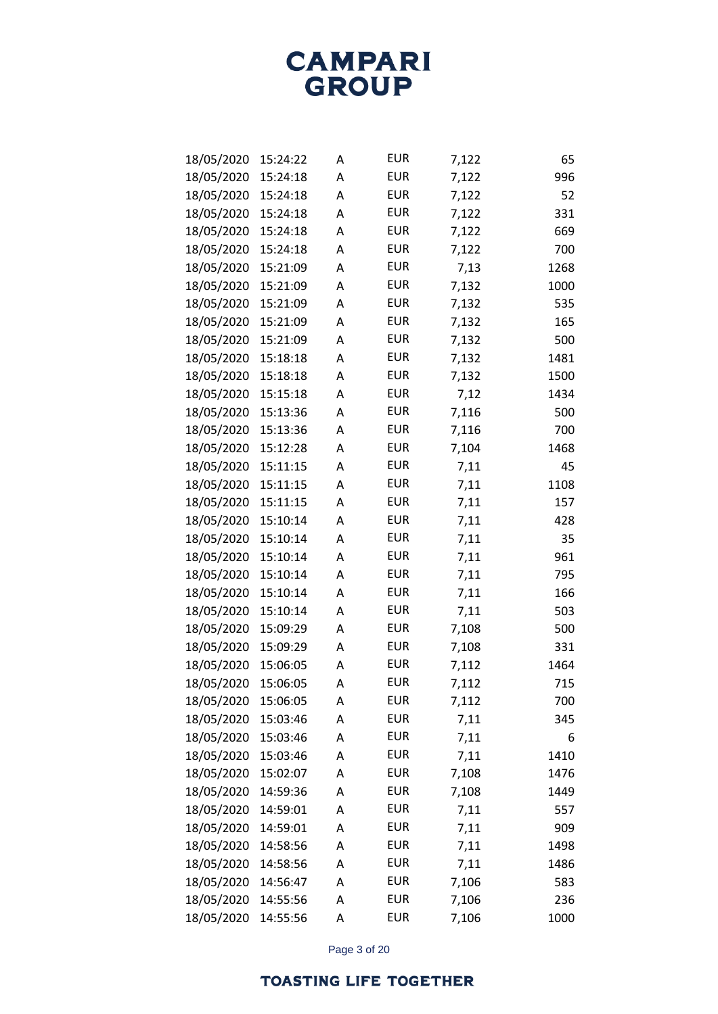| 18/05/2020 | 15:24:22 | А | <b>EUR</b> | 7,122 | 65   |
|------------|----------|---|------------|-------|------|
| 18/05/2020 | 15:24:18 | Α | <b>EUR</b> | 7,122 | 996  |
| 18/05/2020 | 15:24:18 | Α | <b>EUR</b> | 7,122 | 52   |
| 18/05/2020 | 15:24:18 | Α | <b>EUR</b> | 7,122 | 331  |
| 18/05/2020 | 15:24:18 | Α | <b>EUR</b> | 7,122 | 669  |
| 18/05/2020 | 15:24:18 | Α | <b>EUR</b> | 7,122 | 700  |
| 18/05/2020 | 15:21:09 | Α | <b>EUR</b> | 7,13  | 1268 |
| 18/05/2020 | 15:21:09 | Α | <b>EUR</b> | 7,132 | 1000 |
| 18/05/2020 | 15:21:09 | Α | <b>EUR</b> | 7,132 | 535  |
| 18/05/2020 | 15:21:09 | Α | <b>EUR</b> | 7,132 | 165  |
| 18/05/2020 | 15:21:09 | Α | <b>EUR</b> | 7,132 | 500  |
| 18/05/2020 | 15:18:18 | Α | <b>EUR</b> | 7,132 | 1481 |
| 18/05/2020 | 15:18:18 | Α | <b>EUR</b> | 7,132 | 1500 |
| 18/05/2020 | 15:15:18 | Α | <b>EUR</b> | 7,12  | 1434 |
| 18/05/2020 | 15:13:36 | Α | <b>EUR</b> | 7,116 | 500  |
| 18/05/2020 | 15:13:36 | Α | <b>EUR</b> | 7,116 | 700  |
| 18/05/2020 | 15:12:28 | Α | <b>EUR</b> | 7,104 | 1468 |
| 18/05/2020 | 15:11:15 | Α | <b>EUR</b> | 7,11  | 45   |
| 18/05/2020 | 15:11:15 | Α | <b>EUR</b> | 7,11  | 1108 |
| 18/05/2020 | 15:11:15 | Α | <b>EUR</b> | 7,11  | 157  |
| 18/05/2020 | 15:10:14 | Α | <b>EUR</b> | 7,11  | 428  |
| 18/05/2020 | 15:10:14 | Α | <b>EUR</b> | 7,11  | 35   |
| 18/05/2020 | 15:10:14 | Α | <b>EUR</b> | 7,11  | 961  |
| 18/05/2020 | 15:10:14 | Α | <b>EUR</b> | 7,11  | 795  |
| 18/05/2020 | 15:10:14 | Α | <b>EUR</b> | 7,11  | 166  |
| 18/05/2020 | 15:10:14 | Α | <b>EUR</b> | 7,11  | 503  |
| 18/05/2020 | 15:09:29 | Α | <b>EUR</b> | 7,108 | 500  |
| 18/05/2020 | 15:09:29 | Α | <b>EUR</b> | 7,108 | 331  |
| 18/05/2020 | 15:06:05 | Α | <b>EUR</b> | 7,112 | 1464 |
| 18/05/2020 | 15:06:05 | Α | <b>EUR</b> | 7,112 | 715  |
| 18/05/2020 | 15:06:05 | Α | <b>EUR</b> | 7,112 | 700  |
| 18/05/2020 | 15:03:46 | Α | <b>EUR</b> | 7,11  | 345  |
| 18/05/2020 | 15:03:46 | Α | <b>EUR</b> | 7,11  | 6    |
| 18/05/2020 | 15:03:46 | A | <b>EUR</b> | 7,11  | 1410 |
| 18/05/2020 | 15:02:07 | А | <b>EUR</b> | 7,108 | 1476 |
| 18/05/2020 | 14:59:36 | Α | <b>EUR</b> | 7,108 | 1449 |
| 18/05/2020 | 14:59:01 | А | <b>EUR</b> | 7,11  | 557  |
| 18/05/2020 | 14:59:01 | A | <b>EUR</b> | 7,11  | 909  |
| 18/05/2020 | 14:58:56 | А | <b>EUR</b> | 7,11  | 1498 |
| 18/05/2020 | 14:58:56 | Α | <b>EUR</b> | 7,11  | 1486 |
| 18/05/2020 | 14:56:47 | А | <b>EUR</b> | 7,106 | 583  |
| 18/05/2020 | 14:55:56 | A | <b>EUR</b> | 7,106 | 236  |
| 18/05/2020 | 14:55:56 | А | <b>EUR</b> | 7,106 | 1000 |

Page 3 of 20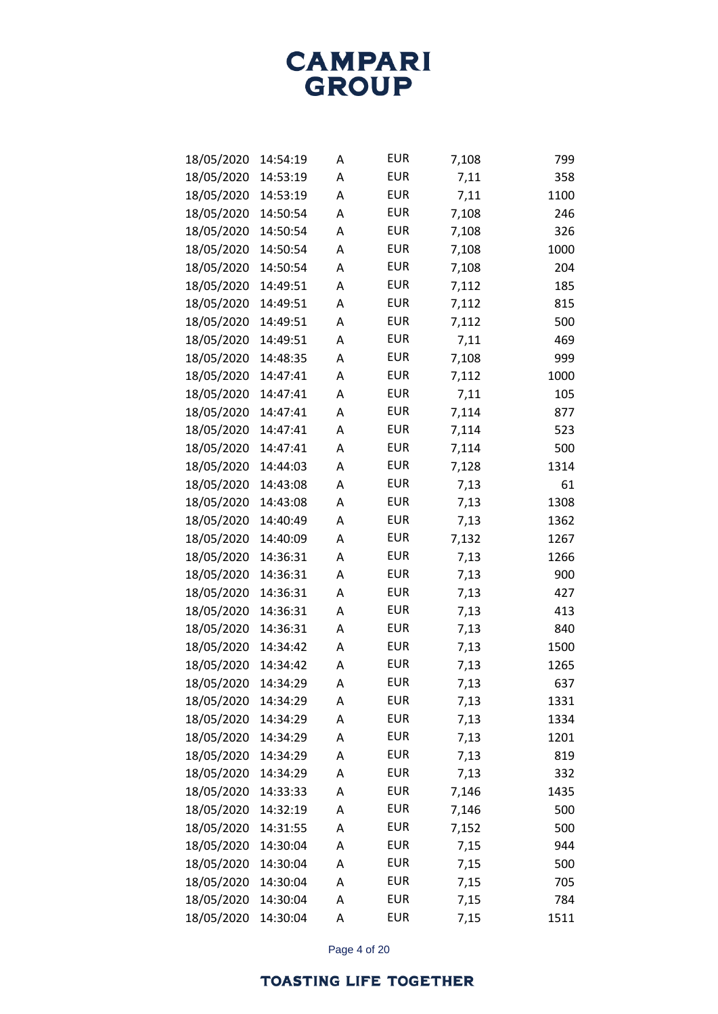| 18/05/2020 | 14:54:19 | Α | <b>EUR</b> | 7,108 | 799  |
|------------|----------|---|------------|-------|------|
| 18/05/2020 | 14:53:19 | Α | <b>EUR</b> | 7,11  | 358  |
| 18/05/2020 | 14:53:19 | Α | <b>EUR</b> | 7,11  | 1100 |
| 18/05/2020 | 14:50:54 | Α | <b>EUR</b> | 7,108 | 246  |
| 18/05/2020 | 14:50:54 | Α | <b>EUR</b> | 7,108 | 326  |
| 18/05/2020 | 14:50:54 | Α | <b>EUR</b> | 7,108 | 1000 |
| 18/05/2020 | 14:50:54 | Α | <b>EUR</b> | 7,108 | 204  |
| 18/05/2020 | 14:49:51 | Α | <b>EUR</b> | 7,112 | 185  |
| 18/05/2020 | 14:49:51 | Α | <b>EUR</b> | 7,112 | 815  |
| 18/05/2020 | 14:49:51 | Α | <b>EUR</b> | 7,112 | 500  |
| 18/05/2020 | 14:49:51 | Α | <b>EUR</b> | 7,11  | 469  |
| 18/05/2020 | 14:48:35 | Α | <b>EUR</b> | 7,108 | 999  |
| 18/05/2020 | 14:47:41 | Α | <b>EUR</b> | 7,112 | 1000 |
| 18/05/2020 | 14:47:41 | Α | <b>EUR</b> | 7,11  | 105  |
| 18/05/2020 | 14:47:41 | Α | <b>EUR</b> | 7,114 | 877  |
| 18/05/2020 | 14:47:41 | Α | <b>EUR</b> | 7,114 | 523  |
| 18/05/2020 | 14:47:41 | Α | <b>EUR</b> | 7,114 | 500  |
| 18/05/2020 | 14:44:03 | Α | <b>EUR</b> | 7,128 | 1314 |
| 18/05/2020 | 14:43:08 | Α | <b>EUR</b> | 7,13  | 61   |
| 18/05/2020 | 14:43:08 | Α | <b>EUR</b> | 7,13  | 1308 |
| 18/05/2020 | 14:40:49 | Α | <b>EUR</b> | 7,13  | 1362 |
| 18/05/2020 | 14:40:09 | Α | <b>EUR</b> | 7,132 | 1267 |
| 18/05/2020 | 14:36:31 | Α | <b>EUR</b> | 7,13  | 1266 |
| 18/05/2020 | 14:36:31 | Α | <b>EUR</b> | 7,13  | 900  |
| 18/05/2020 | 14:36:31 | Α | <b>EUR</b> | 7,13  | 427  |
| 18/05/2020 | 14:36:31 | Α | <b>EUR</b> | 7,13  | 413  |
| 18/05/2020 | 14:36:31 | Α | <b>EUR</b> | 7,13  | 840  |
| 18/05/2020 | 14:34:42 | Α | <b>EUR</b> | 7,13  | 1500 |
| 18/05/2020 | 14:34:42 | Α | <b>EUR</b> | 7,13  | 1265 |
| 18/05/2020 | 14:34:29 | Α | <b>EUR</b> | 7,13  | 637  |
| 18/05/2020 | 14:34:29 | А | <b>EUR</b> | 7,13  | 1331 |
| 18/05/2020 | 14:34:29 | Α | <b>EUR</b> | 7,13  | 1334 |
| 18/05/2020 | 14:34:29 | А | <b>EUR</b> | 7,13  | 1201 |
| 18/05/2020 | 14:34:29 | Α | <b>EUR</b> | 7,13  | 819  |
| 18/05/2020 | 14:34:29 | Α | <b>EUR</b> | 7,13  | 332  |
| 18/05/2020 | 14:33:33 | Α | <b>EUR</b> | 7,146 | 1435 |
| 18/05/2020 | 14:32:19 | А | <b>EUR</b> | 7,146 | 500  |
| 18/05/2020 | 14:31:55 | Α | <b>EUR</b> | 7,152 | 500  |
| 18/05/2020 | 14:30:04 | А | <b>EUR</b> | 7,15  | 944  |
| 18/05/2020 | 14:30:04 | Α | <b>EUR</b> | 7,15  | 500  |
| 18/05/2020 | 14:30:04 | А | <b>EUR</b> | 7,15  | 705  |
| 18/05/2020 | 14:30:04 | Α | <b>EUR</b> | 7,15  | 784  |
| 18/05/2020 | 14:30:04 | А | <b>EUR</b> | 7,15  | 1511 |

Page 4 of 20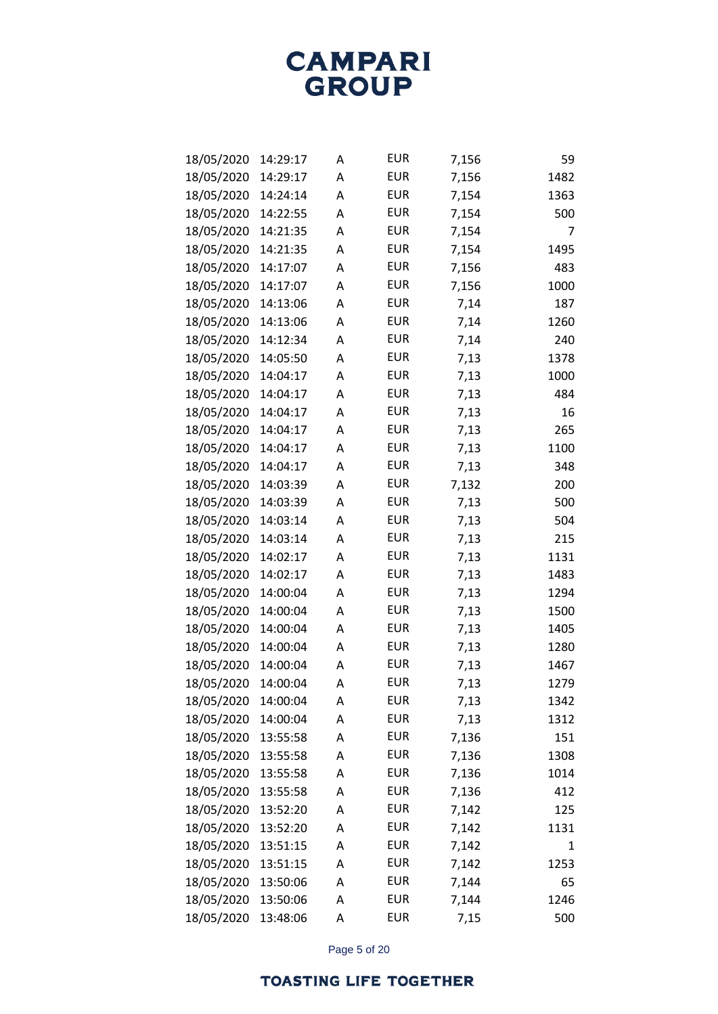| 18/05/2020 | 14:29:17 | Α | <b>EUR</b> | 7,156 | 59   |
|------------|----------|---|------------|-------|------|
| 18/05/2020 | 14:29:17 | Α | <b>EUR</b> | 7,156 | 1482 |
| 18/05/2020 | 14:24:14 | Α | <b>EUR</b> | 7,154 | 1363 |
| 18/05/2020 | 14:22:55 | Α | <b>EUR</b> | 7,154 | 500  |
| 18/05/2020 | 14:21:35 | Α | <b>EUR</b> | 7,154 | 7    |
| 18/05/2020 | 14:21:35 | Α | <b>EUR</b> | 7,154 | 1495 |
| 18/05/2020 | 14:17:07 | Α | <b>EUR</b> | 7,156 | 483  |
| 18/05/2020 | 14:17:07 | Α | <b>EUR</b> | 7,156 | 1000 |
| 18/05/2020 | 14:13:06 | Α | <b>EUR</b> | 7,14  | 187  |
| 18/05/2020 | 14:13:06 | Α | <b>EUR</b> | 7,14  | 1260 |
| 18/05/2020 | 14:12:34 | Α | <b>EUR</b> | 7,14  | 240  |
| 18/05/2020 | 14:05:50 | Α | <b>EUR</b> | 7,13  | 1378 |
| 18/05/2020 | 14:04:17 | Α | <b>EUR</b> | 7,13  | 1000 |
| 18/05/2020 | 14:04:17 | Α | <b>EUR</b> | 7,13  | 484  |
| 18/05/2020 | 14:04:17 | Α | <b>EUR</b> | 7,13  | 16   |
| 18/05/2020 | 14:04:17 | Α | <b>EUR</b> | 7,13  | 265  |
| 18/05/2020 | 14:04:17 | Α | <b>EUR</b> | 7,13  | 1100 |
| 18/05/2020 | 14:04:17 | Α | <b>EUR</b> | 7,13  | 348  |
| 18/05/2020 | 14:03:39 | Α | <b>EUR</b> | 7,132 | 200  |
| 18/05/2020 | 14:03:39 | Α | <b>EUR</b> | 7,13  | 500  |
| 18/05/2020 | 14:03:14 | Α | <b>EUR</b> | 7,13  | 504  |
| 18/05/2020 | 14:03:14 | Α | <b>EUR</b> | 7,13  | 215  |
| 18/05/2020 | 14:02:17 | Α | <b>EUR</b> | 7,13  | 1131 |
| 18/05/2020 | 14:02:17 | Α | <b>EUR</b> | 7,13  | 1483 |
| 18/05/2020 | 14:00:04 | Α | <b>EUR</b> | 7,13  | 1294 |
| 18/05/2020 | 14:00:04 | Α | <b>EUR</b> | 7,13  | 1500 |
| 18/05/2020 | 14:00:04 | Α | <b>EUR</b> | 7,13  | 1405 |
| 18/05/2020 | 14:00:04 | Α | <b>EUR</b> | 7,13  | 1280 |
| 18/05/2020 | 14:00:04 | Α | <b>EUR</b> | 7,13  | 1467 |
| 18/05/2020 | 14:00:04 | Α | <b>EUR</b> | 7,13  | 1279 |
| 18/05/2020 | 14:00:04 | А | <b>EUR</b> | 7,13  | 1342 |
| 18/05/2020 | 14:00:04 | Α | <b>EUR</b> | 7,13  | 1312 |
| 18/05/2020 | 13:55:58 | А | <b>EUR</b> | 7,136 | 151  |
| 18/05/2020 | 13:55:58 | Α | <b>EUR</b> | 7,136 | 1308 |
| 18/05/2020 | 13:55:58 | А | <b>EUR</b> | 7,136 | 1014 |
| 18/05/2020 | 13:55:58 | Α | <b>EUR</b> | 7,136 | 412  |
| 18/05/2020 | 13:52:20 | А | <b>EUR</b> | 7,142 | 125  |
| 18/05/2020 | 13:52:20 | Α | <b>EUR</b> | 7,142 | 1131 |
| 18/05/2020 | 13:51:15 | Α | <b>EUR</b> | 7,142 | 1    |
| 18/05/2020 | 13:51:15 | Α | <b>EUR</b> | 7,142 | 1253 |
| 18/05/2020 | 13:50:06 | А | <b>EUR</b> | 7,144 | 65   |
| 18/05/2020 | 13:50:06 | Α | <b>EUR</b> | 7,144 | 1246 |
| 18/05/2020 | 13:48:06 | А | <b>EUR</b> | 7,15  | 500  |

Page 5 of 20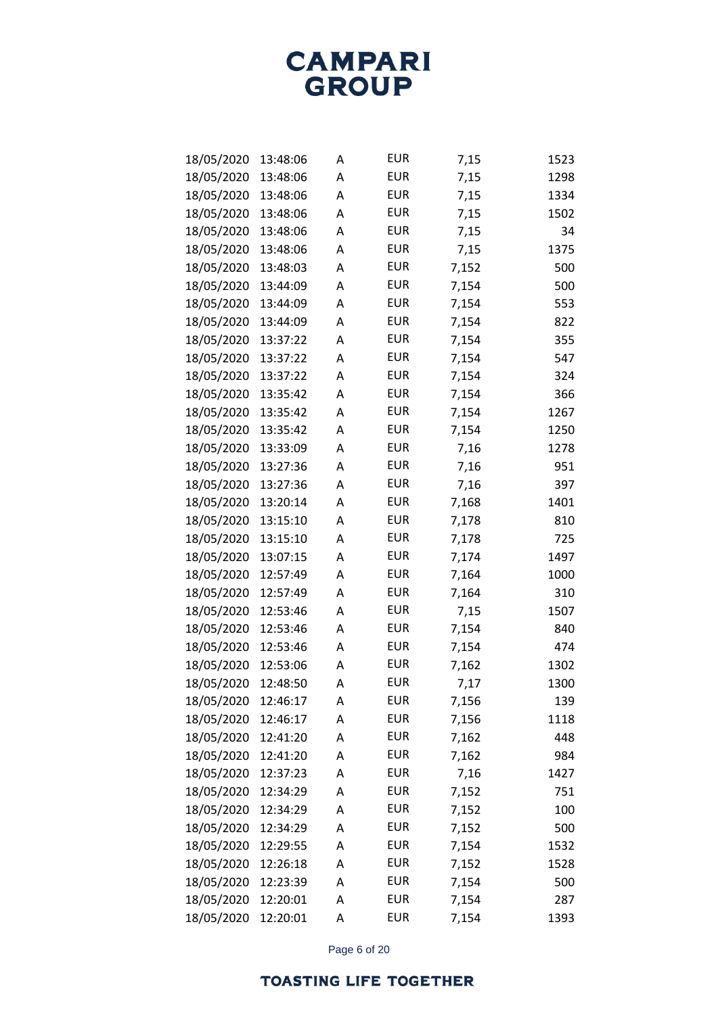| 18/05/2020 | 13:48:06 | Α | <b>EUR</b> | 7,15  | 1523 |
|------------|----------|---|------------|-------|------|
| 18/05/2020 | 13:48:06 | Α | <b>EUR</b> | 7,15  | 1298 |
| 18/05/2020 | 13:48:06 | Α | <b>EUR</b> | 7,15  | 1334 |
| 18/05/2020 | 13:48:06 | Α | <b>EUR</b> | 7,15  | 1502 |
| 18/05/2020 | 13:48:06 | Α | <b>EUR</b> | 7,15  | 34   |
| 18/05/2020 | 13:48:06 | Α | <b>EUR</b> | 7,15  | 1375 |
| 18/05/2020 | 13:48:03 | Α | <b>EUR</b> | 7,152 | 500  |
| 18/05/2020 | 13:44:09 | Α | <b>EUR</b> | 7,154 | 500  |
| 18/05/2020 | 13:44:09 | Α | <b>EUR</b> | 7,154 | 553  |
| 18/05/2020 | 13:44:09 | Α | <b>EUR</b> | 7,154 | 822  |
| 18/05/2020 | 13:37:22 | Α | <b>EUR</b> | 7,154 | 355  |
| 18/05/2020 | 13:37:22 | Α | <b>EUR</b> | 7,154 | 547  |
| 18/05/2020 | 13:37:22 | Α | <b>EUR</b> | 7,154 | 324  |
| 18/05/2020 | 13:35:42 | Α | <b>EUR</b> | 7,154 | 366  |
| 18/05/2020 | 13:35:42 | Α | <b>EUR</b> | 7,154 | 1267 |
| 18/05/2020 | 13:35:42 | Α | <b>EUR</b> | 7,154 | 1250 |
| 18/05/2020 | 13:33:09 | Α | <b>EUR</b> | 7,16  | 1278 |
| 18/05/2020 | 13:27:36 | Α | <b>EUR</b> | 7,16  | 951  |
| 18/05/2020 | 13:27:36 | Α | <b>EUR</b> | 7,16  | 397  |
| 18/05/2020 | 13:20:14 | Α | <b>EUR</b> | 7,168 | 1401 |
| 18/05/2020 | 13:15:10 | Α | <b>EUR</b> | 7,178 | 810  |
| 18/05/2020 | 13:15:10 | Α | <b>EUR</b> | 7,178 | 725  |
| 18/05/2020 | 13:07:15 | Α | <b>EUR</b> | 7,174 | 1497 |
| 18/05/2020 | 12:57:49 | Α | <b>EUR</b> | 7,164 | 1000 |
| 18/05/2020 | 12:57:49 | Α | <b>EUR</b> | 7,164 | 310  |
| 18/05/2020 | 12:53:46 | Α | <b>EUR</b> | 7,15  | 1507 |
| 18/05/2020 | 12:53:46 | Α | <b>EUR</b> | 7,154 | 840  |
| 18/05/2020 | 12:53:46 | Α | <b>EUR</b> | 7,154 | 474  |
| 18/05/2020 | 12:53:06 | Α | <b>EUR</b> | 7,162 | 1302 |
| 18/05/2020 | 12:48:50 | Α | <b>EUR</b> | 7,17  | 1300 |
| 18/05/2020 | 12:46:17 | А | <b>EUR</b> | 7,156 | 139  |
| 18/05/2020 | 12:46:17 | Α | <b>EUR</b> | 7,156 | 1118 |
| 18/05/2020 | 12:41:20 | А | <b>EUR</b> | 7,162 | 448  |
| 18/05/2020 | 12:41:20 | А | <b>EUR</b> | 7,162 | 984  |
| 18/05/2020 | 12:37:23 | А | <b>EUR</b> | 7,16  | 1427 |
| 18/05/2020 | 12:34:29 | Α | <b>EUR</b> | 7,152 | 751  |
| 18/05/2020 | 12:34:29 | А | <b>EUR</b> | 7,152 | 100  |
| 18/05/2020 | 12:34:29 | А | <b>EUR</b> | 7,152 | 500  |
| 18/05/2020 | 12:29:55 | А | <b>EUR</b> | 7,154 | 1532 |
| 18/05/2020 | 12:26:18 | Α | <b>EUR</b> | 7,152 | 1528 |
| 18/05/2020 | 12:23:39 | Α | <b>EUR</b> | 7,154 | 500  |
| 18/05/2020 | 12:20:01 | А | <b>EUR</b> | 7,154 | 287  |
| 18/05/2020 | 12:20:01 | Α | <b>EUR</b> | 7,154 | 1393 |

Page 6 of 20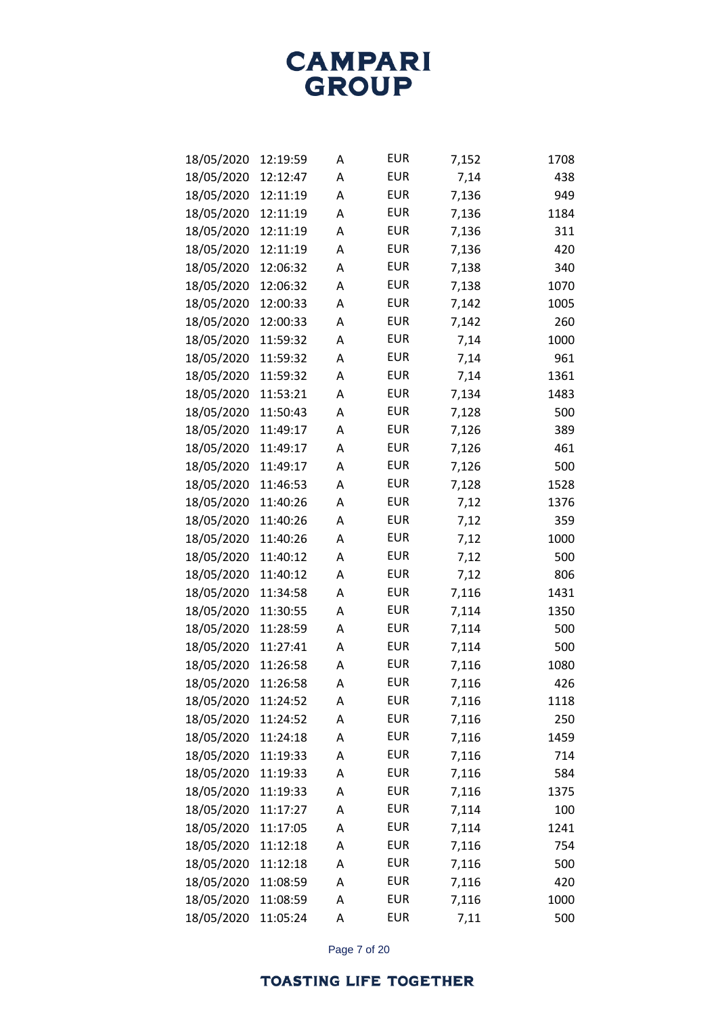| 18/05/2020 | 12:19:59 | Α | <b>EUR</b> | 7,152 | 1708 |
|------------|----------|---|------------|-------|------|
| 18/05/2020 | 12:12:47 | Α | <b>EUR</b> | 7,14  | 438  |
| 18/05/2020 | 12:11:19 | Α | <b>EUR</b> | 7,136 | 949  |
| 18/05/2020 | 12:11:19 | Α | <b>EUR</b> | 7,136 | 1184 |
| 18/05/2020 | 12:11:19 | Α | <b>EUR</b> | 7,136 | 311  |
| 18/05/2020 | 12:11:19 | Α | <b>EUR</b> | 7,136 | 420  |
| 18/05/2020 | 12:06:32 | Α | <b>EUR</b> | 7,138 | 340  |
| 18/05/2020 | 12:06:32 | Α | <b>EUR</b> | 7,138 | 1070 |
| 18/05/2020 | 12:00:33 | Α | <b>EUR</b> | 7,142 | 1005 |
| 18/05/2020 | 12:00:33 | Α | <b>EUR</b> | 7,142 | 260  |
| 18/05/2020 | 11:59:32 | Α | <b>EUR</b> | 7,14  | 1000 |
| 18/05/2020 | 11:59:32 | Α | <b>EUR</b> | 7,14  | 961  |
| 18/05/2020 | 11:59:32 | Α | <b>EUR</b> | 7,14  | 1361 |
| 18/05/2020 | 11:53:21 | Α | <b>EUR</b> | 7,134 | 1483 |
| 18/05/2020 | 11:50:43 | Α | <b>EUR</b> | 7,128 | 500  |
| 18/05/2020 | 11:49:17 | Α | <b>EUR</b> | 7,126 | 389  |
| 18/05/2020 | 11:49:17 | Α | <b>EUR</b> | 7,126 | 461  |
| 18/05/2020 | 11:49:17 | Α | <b>EUR</b> | 7,126 | 500  |
| 18/05/2020 | 11:46:53 | Α | <b>EUR</b> | 7,128 | 1528 |
| 18/05/2020 | 11:40:26 | Α | <b>EUR</b> | 7,12  | 1376 |
| 18/05/2020 | 11:40:26 | Α | <b>EUR</b> | 7,12  | 359  |
| 18/05/2020 | 11:40:26 | Α | <b>EUR</b> | 7,12  | 1000 |
| 18/05/2020 | 11:40:12 | Α | <b>EUR</b> | 7,12  | 500  |
| 18/05/2020 | 11:40:12 | Α | <b>EUR</b> | 7,12  | 806  |
| 18/05/2020 | 11:34:58 | Α | <b>EUR</b> | 7,116 | 1431 |
| 18/05/2020 | 11:30:55 | Α | <b>EUR</b> | 7,114 | 1350 |
| 18/05/2020 | 11:28:59 | Α | <b>EUR</b> | 7,114 | 500  |
| 18/05/2020 | 11:27:41 | Α | <b>EUR</b> | 7,114 | 500  |
| 18/05/2020 | 11:26:58 | Α | <b>EUR</b> | 7,116 | 1080 |
| 18/05/2020 | 11:26:58 | Α | <b>EUR</b> | 7,116 | 426  |
| 18/05/2020 | 11:24:52 | А | <b>EUR</b> | 7,116 | 1118 |
| 18/05/2020 | 11:24:52 | Α | <b>EUR</b> | 7,116 | 250  |
| 18/05/2020 | 11:24:18 | Α | <b>EUR</b> | 7,116 | 1459 |
| 18/05/2020 | 11:19:33 | Α | <b>EUR</b> | 7,116 | 714  |
| 18/05/2020 | 11:19:33 | Α | <b>EUR</b> | 7,116 | 584  |
| 18/05/2020 | 11:19:33 | Α | <b>EUR</b> | 7,116 | 1375 |
| 18/05/2020 | 11:17:27 | Α | <b>EUR</b> | 7,114 | 100  |
| 18/05/2020 | 11:17:05 | Α | <b>EUR</b> | 7,114 | 1241 |
| 18/05/2020 | 11:12:18 | Α | <b>EUR</b> | 7,116 | 754  |
| 18/05/2020 | 11:12:18 | Α | <b>EUR</b> | 7,116 | 500  |
| 18/05/2020 | 11:08:59 | Α | <b>EUR</b> | 7,116 | 420  |
| 18/05/2020 | 11:08:59 | Α | <b>EUR</b> | 7,116 | 1000 |
| 18/05/2020 | 11:05:24 | Α | <b>EUR</b> | 7,11  | 500  |

Page 7 of 20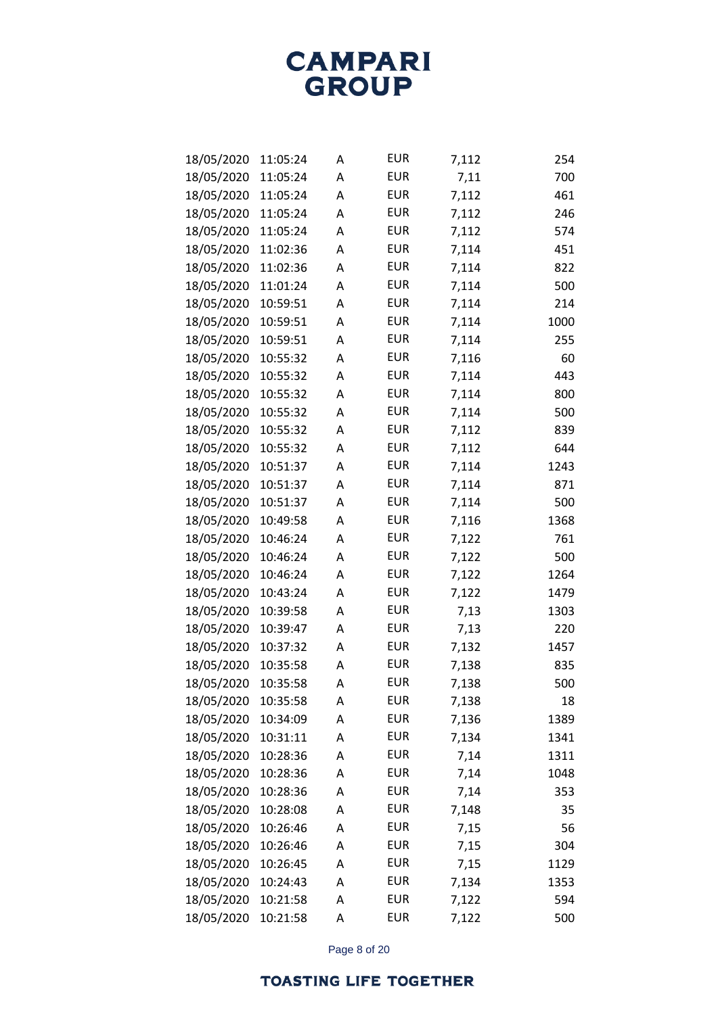| 18/05/2020 | 11:05:24 | Α | <b>EUR</b> | 7,112 | 254  |
|------------|----------|---|------------|-------|------|
| 18/05/2020 | 11:05:24 | Α | <b>EUR</b> | 7,11  | 700  |
| 18/05/2020 | 11:05:24 | Α | <b>EUR</b> | 7,112 | 461  |
| 18/05/2020 | 11:05:24 | Α | <b>EUR</b> | 7,112 | 246  |
| 18/05/2020 | 11:05:24 | Α | <b>EUR</b> | 7,112 | 574  |
| 18/05/2020 | 11:02:36 | Α | <b>EUR</b> | 7,114 | 451  |
| 18/05/2020 | 11:02:36 | А | <b>EUR</b> | 7,114 | 822  |
| 18/05/2020 | 11:01:24 | Α | <b>EUR</b> | 7,114 | 500  |
| 18/05/2020 | 10:59:51 | Α | <b>EUR</b> | 7,114 | 214  |
| 18/05/2020 | 10:59:51 | А | <b>EUR</b> | 7,114 | 1000 |
| 18/05/2020 | 10:59:51 | А | <b>EUR</b> | 7,114 | 255  |
| 18/05/2020 | 10:55:32 | Α | <b>EUR</b> | 7,116 | 60   |
| 18/05/2020 | 10:55:32 | Α | <b>EUR</b> | 7,114 | 443  |
| 18/05/2020 | 10:55:32 | Α | <b>EUR</b> | 7,114 | 800  |
| 18/05/2020 | 10:55:32 | А | <b>EUR</b> | 7,114 | 500  |
| 18/05/2020 | 10:55:32 | Α | <b>EUR</b> | 7,112 | 839  |
| 18/05/2020 | 10:55:32 | Α | <b>EUR</b> | 7,112 | 644  |
| 18/05/2020 | 10:51:37 | Α | <b>EUR</b> | 7,114 | 1243 |
| 18/05/2020 | 10:51:37 | А | <b>EUR</b> | 7,114 | 871  |
| 18/05/2020 | 10:51:37 | Α | <b>EUR</b> | 7,114 | 500  |
| 18/05/2020 | 10:49:58 | Α | <b>EUR</b> | 7,116 | 1368 |
| 18/05/2020 | 10:46:24 | Α | <b>EUR</b> | 7,122 | 761  |
| 18/05/2020 | 10:46:24 | А | <b>EUR</b> | 7,122 | 500  |
| 18/05/2020 | 10:46:24 | Α | <b>EUR</b> | 7,122 | 1264 |
| 18/05/2020 | 10:43:24 | Α | <b>EUR</b> | 7,122 | 1479 |
| 18/05/2020 | 10:39:58 | А | <b>EUR</b> | 7,13  | 1303 |
| 18/05/2020 | 10:39:47 | А | <b>EUR</b> | 7,13  | 220  |
| 18/05/2020 | 10:37:32 | Α | <b>EUR</b> | 7,132 | 1457 |
| 18/05/2020 | 10:35:58 | А | <b>EUR</b> | 7,138 | 835  |
| 18/05/2020 | 10:35:58 | А | <b>EUR</b> | 7,138 | 500  |
| 18/05/2020 | 10:35:58 | А | <b>EUR</b> | 7,138 | 18   |
| 18/05/2020 | 10:34:09 | А | <b>EUR</b> | 7,136 | 1389 |
| 18/05/2020 | 10:31:11 | А | <b>EUR</b> | 7,134 | 1341 |
| 18/05/2020 | 10:28:36 | А | <b>EUR</b> | 7,14  | 1311 |
| 18/05/2020 | 10:28:36 | А | <b>EUR</b> | 7,14  | 1048 |
| 18/05/2020 | 10:28:36 | А | <b>EUR</b> | 7,14  | 353  |
| 18/05/2020 | 10:28:08 | А | <b>EUR</b> | 7,148 | 35   |
| 18/05/2020 | 10:26:46 | А | <b>EUR</b> | 7,15  | 56   |
| 18/05/2020 | 10:26:46 | А | <b>EUR</b> | 7,15  | 304  |
| 18/05/2020 | 10:26:45 | А | <b>EUR</b> | 7,15  | 1129 |
| 18/05/2020 | 10:24:43 | А | <b>EUR</b> | 7,134 | 1353 |
| 18/05/2020 | 10:21:58 | А | <b>EUR</b> | 7,122 | 594  |
| 18/05/2020 | 10:21:58 | А | <b>EUR</b> | 7,122 | 500  |

Page 8 of 20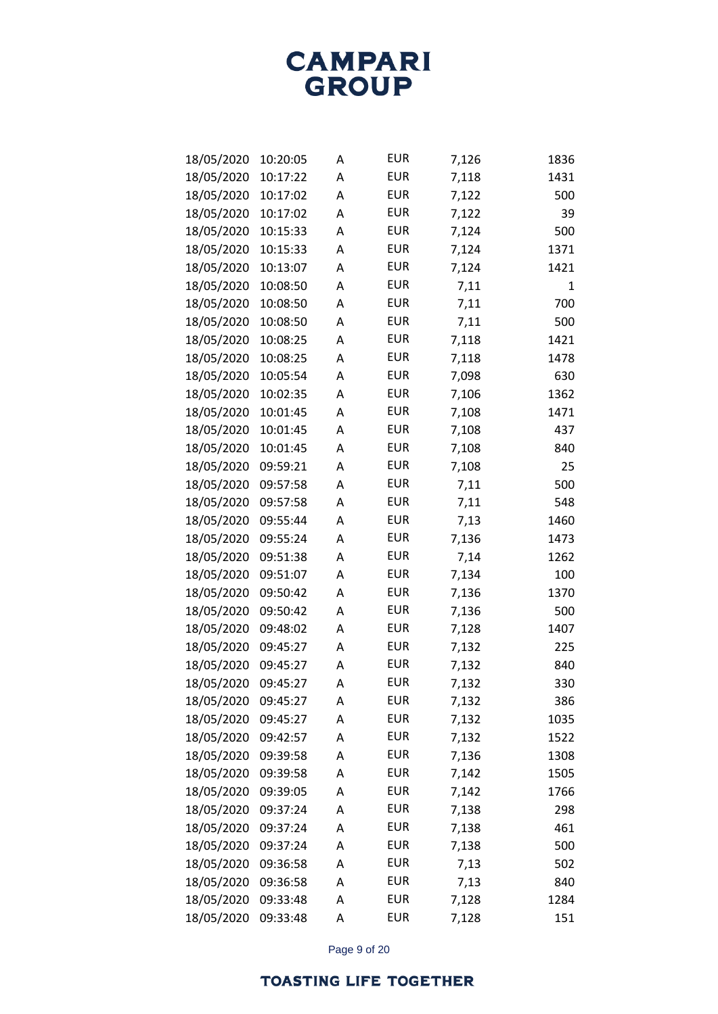| 18/05/2020 | 10:20:05 | Α | <b>EUR</b> | 7,126 | 1836 |
|------------|----------|---|------------|-------|------|
| 18/05/2020 | 10:17:22 | Α | <b>EUR</b> | 7,118 | 1431 |
| 18/05/2020 | 10:17:02 | А | <b>EUR</b> | 7,122 | 500  |
| 18/05/2020 | 10:17:02 | Α | <b>EUR</b> | 7,122 | 39   |
| 18/05/2020 | 10:15:33 | Α | <b>EUR</b> | 7,124 | 500  |
| 18/05/2020 | 10:15:33 | Α | <b>EUR</b> | 7,124 | 1371 |
| 18/05/2020 | 10:13:07 | Α | <b>EUR</b> | 7,124 | 1421 |
| 18/05/2020 | 10:08:50 | А | <b>EUR</b> | 7,11  | 1    |
| 18/05/2020 | 10:08:50 | Α | <b>EUR</b> | 7,11  | 700  |
| 18/05/2020 | 10:08:50 | Α | <b>EUR</b> | 7,11  | 500  |
| 18/05/2020 | 10:08:25 | Α | <b>EUR</b> | 7,118 | 1421 |
| 18/05/2020 | 10:08:25 | А | <b>EUR</b> | 7,118 | 1478 |
| 18/05/2020 | 10:05:54 | Α | <b>EUR</b> | 7,098 | 630  |
| 18/05/2020 | 10:02:35 | Α | <b>EUR</b> | 7,106 | 1362 |
| 18/05/2020 | 10:01:45 | Α | <b>EUR</b> | 7,108 | 1471 |
| 18/05/2020 | 10:01:45 | А | <b>EUR</b> | 7,108 | 437  |
| 18/05/2020 | 10:01:45 | Α | <b>EUR</b> | 7,108 | 840  |
| 18/05/2020 | 09:59:21 | Α | <b>EUR</b> | 7,108 | 25   |
| 18/05/2020 | 09:57:58 | Α | <b>EUR</b> | 7,11  | 500  |
| 18/05/2020 | 09:57:58 | A | <b>EUR</b> | 7,11  | 548  |
| 18/05/2020 | 09:55:44 | Α | <b>EUR</b> | 7,13  | 1460 |
| 18/05/2020 | 09:55:24 | Α | <b>EUR</b> | 7,136 | 1473 |
| 18/05/2020 | 09:51:38 | Α | <b>EUR</b> | 7,14  | 1262 |
| 18/05/2020 | 09:51:07 | Α | <b>EUR</b> | 7,134 | 100  |
| 18/05/2020 | 09:50:42 | Α | <b>EUR</b> | 7,136 | 1370 |
| 18/05/2020 | 09:50:42 | Α | <b>EUR</b> | 7,136 | 500  |
| 18/05/2020 | 09:48:02 | Α | <b>EUR</b> | 7,128 | 1407 |
| 18/05/2020 | 09:45:27 | Α | <b>EUR</b> | 7,132 | 225  |
| 18/05/2020 | 09:45:27 | Α | <b>EUR</b> | 7,132 | 840  |
| 18/05/2020 | 09:45:27 | А | <b>EUR</b> | 7,132 | 330  |
| 18/05/2020 | 09:45:27 | Α | <b>EUR</b> | 7,132 | 386  |
| 18/05/2020 | 09:45:27 | Α | <b>EUR</b> | 7,132 | 1035 |
| 18/05/2020 | 09:42:57 | Α | <b>EUR</b> | 7,132 | 1522 |
| 18/05/2020 | 09:39:58 | A | <b>EUR</b> | 7,136 | 1308 |
| 18/05/2020 | 09:39:58 | А | <b>EUR</b> | 7,142 | 1505 |
| 18/05/2020 | 09:39:05 | Α | <b>EUR</b> | 7,142 | 1766 |
| 18/05/2020 | 09:37:24 | Α | <b>EUR</b> | 7,138 | 298  |
| 18/05/2020 | 09:37:24 | Α | <b>EUR</b> | 7,138 | 461  |
| 18/05/2020 | 09:37:24 | А | <b>EUR</b> | 7,138 | 500  |
| 18/05/2020 | 09:36:58 | Α | <b>EUR</b> | 7,13  | 502  |
| 18/05/2020 | 09:36:58 | Α | <b>EUR</b> | 7,13  | 840  |
| 18/05/2020 | 09:33:48 | Α | <b>EUR</b> | 7,128 | 1284 |
| 18/05/2020 | 09:33:48 | Α | <b>EUR</b> | 7,128 | 151  |

Page 9 of 20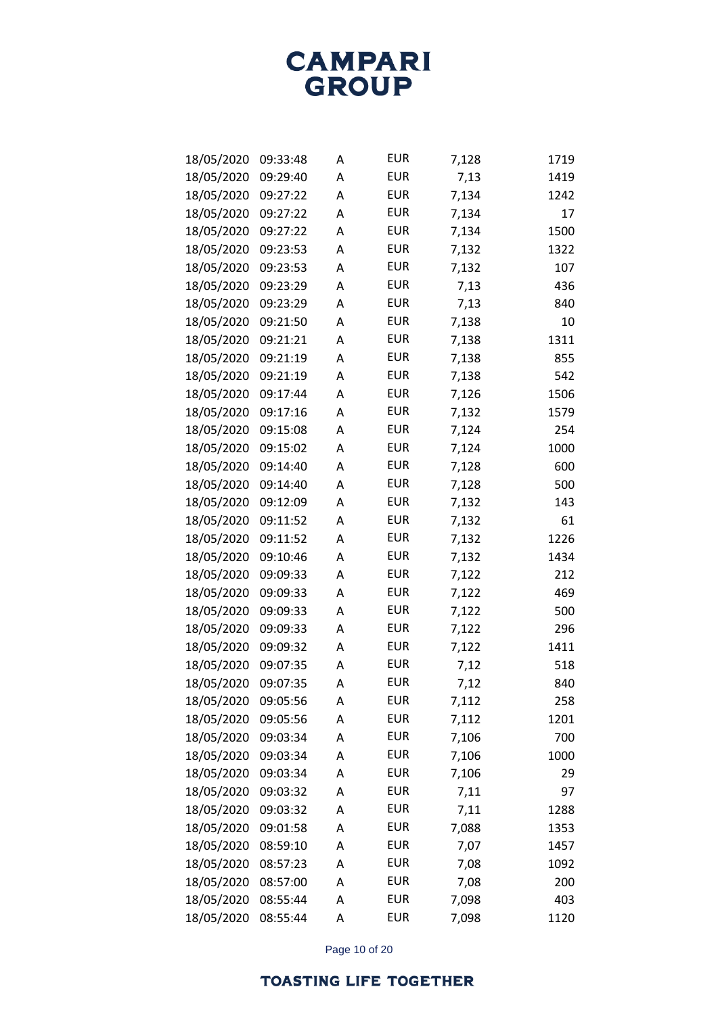| 18/05/2020 | 09:33:48 | А | <b>EUR</b> | 7,128 | 1719 |
|------------|----------|---|------------|-------|------|
| 18/05/2020 | 09:29:40 | А | <b>EUR</b> | 7,13  | 1419 |
| 18/05/2020 | 09:27:22 | А | <b>EUR</b> | 7,134 | 1242 |
| 18/05/2020 | 09:27:22 | А | <b>EUR</b> | 7,134 | 17   |
| 18/05/2020 | 09:27:22 | Α | <b>EUR</b> | 7,134 | 1500 |
| 18/05/2020 | 09:23:53 | Α | <b>EUR</b> | 7,132 | 1322 |
| 18/05/2020 | 09:23:53 | Α | <b>EUR</b> | 7,132 | 107  |
| 18/05/2020 | 09:23:29 | Α | <b>EUR</b> | 7,13  | 436  |
| 18/05/2020 | 09:23:29 | Α | <b>EUR</b> | 7,13  | 840  |
| 18/05/2020 | 09:21:50 | Α | <b>EUR</b> | 7,138 | 10   |
| 18/05/2020 | 09:21:21 | Α | <b>EUR</b> | 7,138 | 1311 |
| 18/05/2020 | 09:21:19 | Α | <b>EUR</b> | 7,138 | 855  |
| 18/05/2020 | 09:21:19 | Α | <b>EUR</b> | 7,138 | 542  |
| 18/05/2020 | 09:17:44 | Α | <b>EUR</b> | 7,126 | 1506 |
| 18/05/2020 | 09:17:16 | Α | <b>EUR</b> | 7,132 | 1579 |
| 18/05/2020 | 09:15:08 | Α | <b>EUR</b> | 7,124 | 254  |
| 18/05/2020 | 09:15:02 | Α | <b>EUR</b> | 7,124 | 1000 |
| 18/05/2020 | 09:14:40 | Α | <b>EUR</b> | 7,128 | 600  |
| 18/05/2020 | 09:14:40 | Α | <b>EUR</b> | 7,128 | 500  |
| 18/05/2020 | 09:12:09 | Α | <b>EUR</b> | 7,132 | 143  |
| 18/05/2020 | 09:11:52 | Α | <b>EUR</b> | 7,132 | 61   |
| 18/05/2020 | 09:11:52 | Α | <b>EUR</b> | 7,132 | 1226 |
| 18/05/2020 | 09:10:46 | Α | <b>EUR</b> | 7,132 | 1434 |
| 18/05/2020 | 09:09:33 | Α | <b>EUR</b> | 7,122 | 212  |
| 18/05/2020 | 09:09:33 | Α | <b>EUR</b> | 7,122 | 469  |
| 18/05/2020 | 09:09:33 | Α | <b>EUR</b> | 7,122 | 500  |
| 18/05/2020 | 09:09:33 | Α | <b>EUR</b> | 7,122 | 296  |
| 18/05/2020 | 09:09:32 | А | <b>EUR</b> | 7,122 | 1411 |
| 18/05/2020 | 09:07:35 | А | <b>EUR</b> | 7,12  | 518  |
| 18/05/2020 | 09:07:35 | А | <b>EUR</b> | 7,12  | 840  |
| 18/05/2020 | 09:05:56 | Α | <b>EUR</b> | 7,112 | 258  |
| 18/05/2020 | 09:05:56 | А | <b>EUR</b> | 7,112 | 1201 |
| 18/05/2020 | 09:03:34 | А | <b>EUR</b> | 7,106 | 700  |
| 18/05/2020 | 09:03:34 | А | <b>EUR</b> | 7,106 | 1000 |
| 18/05/2020 | 09:03:34 | А | <b>EUR</b> | 7,106 | 29   |
| 18/05/2020 | 09:03:32 | А | <b>EUR</b> | 7,11  | 97   |
| 18/05/2020 | 09:03:32 | А | <b>EUR</b> | 7,11  | 1288 |
| 18/05/2020 | 09:01:58 | А | <b>EUR</b> | 7,088 | 1353 |
| 18/05/2020 | 08:59:10 | А | <b>EUR</b> | 7,07  | 1457 |
| 18/05/2020 | 08:57:23 | А | <b>EUR</b> | 7,08  | 1092 |
| 18/05/2020 | 08:57:00 | А | <b>EUR</b> | 7,08  | 200  |
| 18/05/2020 | 08:55:44 | А | <b>EUR</b> | 7,098 | 403  |
| 18/05/2020 | 08:55:44 | А | <b>EUR</b> | 7,098 | 1120 |

Page 10 of 20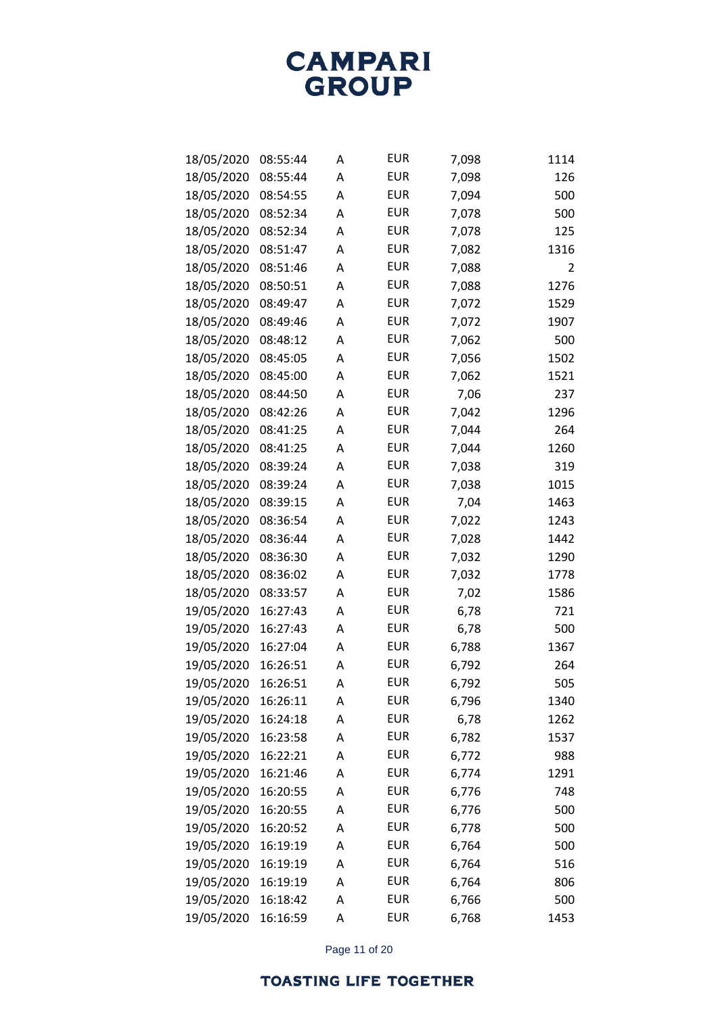| 18/05/2020 | 08:55:44 | Α | <b>EUR</b> | 7,098 | 1114 |
|------------|----------|---|------------|-------|------|
| 18/05/2020 | 08:55:44 | Α | <b>EUR</b> | 7,098 | 126  |
| 18/05/2020 | 08:54:55 | Α | <b>EUR</b> | 7,094 | 500  |
| 18/05/2020 | 08:52:34 | Α | <b>EUR</b> | 7,078 | 500  |
| 18/05/2020 | 08:52:34 | A | <b>EUR</b> | 7,078 | 125  |
| 18/05/2020 | 08:51:47 | Α | <b>EUR</b> | 7,082 | 1316 |
| 18/05/2020 | 08:51:46 | Α | <b>EUR</b> | 7,088 | 2    |
| 18/05/2020 | 08:50:51 | А | <b>EUR</b> | 7,088 | 1276 |
| 18/05/2020 | 08:49:47 | Α | <b>EUR</b> | 7,072 | 1529 |
| 18/05/2020 | 08:49:46 | Α | <b>EUR</b> | 7,072 | 1907 |
| 18/05/2020 | 08:48:12 | А | <b>EUR</b> | 7,062 | 500  |
| 18/05/2020 | 08:45:05 | А | <b>EUR</b> | 7,056 | 1502 |
| 18/05/2020 | 08:45:00 | Α | <b>EUR</b> | 7,062 | 1521 |
| 18/05/2020 | 08:44:50 | Α | <b>EUR</b> | 7,06  | 237  |
| 18/05/2020 | 08:42:26 | А | <b>EUR</b> | 7,042 | 1296 |
| 18/05/2020 | 08:41:25 | А | <b>EUR</b> | 7,044 | 264  |
| 18/05/2020 | 08:41:25 | А | <b>EUR</b> | 7,044 | 1260 |
| 18/05/2020 | 08:39:24 | Α | <b>EUR</b> | 7,038 | 319  |
| 18/05/2020 | 08:39:24 | А | <b>EUR</b> | 7,038 | 1015 |
| 18/05/2020 | 08:39:15 | А | <b>EUR</b> | 7,04  | 1463 |
| 18/05/2020 | 08:36:54 | А | <b>EUR</b> | 7,022 | 1243 |
| 18/05/2020 | 08:36:44 | Α | <b>EUR</b> | 7,028 | 1442 |
| 18/05/2020 | 08:36:30 | А | <b>EUR</b> | 7,032 | 1290 |
| 18/05/2020 | 08:36:02 | А | <b>EUR</b> | 7,032 | 1778 |
| 18/05/2020 | 08:33:57 | А | <b>EUR</b> | 7,02  | 1586 |
| 19/05/2020 | 16:27:43 | Α | <b>EUR</b> | 6,78  | 721  |
| 19/05/2020 | 16:27:43 | А | <b>EUR</b> | 6,78  | 500  |
| 19/05/2020 | 16:27:04 | А | <b>EUR</b> | 6,788 | 1367 |
| 19/05/2020 | 16:26:51 | А | <b>EUR</b> | 6,792 | 264  |
| 19/05/2020 | 16:26:51 | А | <b>EUR</b> | 6,792 | 505  |
| 19/05/2020 | 16:26:11 | Α | <b>EUR</b> | 6,796 | 1340 |
| 19/05/2020 | 16:24:18 | А | <b>EUR</b> | 6,78  | 1262 |
| 19/05/2020 | 16:23:58 | А | <b>EUR</b> | 6,782 | 1537 |
| 19/05/2020 | 16:22:21 | А | <b>EUR</b> | 6,772 | 988  |
| 19/05/2020 | 16:21:46 | А | <b>EUR</b> | 6,774 | 1291 |
| 19/05/2020 | 16:20:55 | А | <b>EUR</b> | 6,776 | 748  |
| 19/05/2020 | 16:20:55 | А | <b>EUR</b> | 6,776 | 500  |
| 19/05/2020 | 16:20:52 | А | <b>EUR</b> | 6,778 | 500  |
| 19/05/2020 | 16:19:19 | А | <b>EUR</b> | 6,764 | 500  |
| 19/05/2020 | 16:19:19 | А | <b>EUR</b> | 6,764 | 516  |
| 19/05/2020 | 16:19:19 | А | <b>EUR</b> | 6,764 | 806  |
| 19/05/2020 | 16:18:42 | А | <b>EUR</b> | 6,766 | 500  |
| 19/05/2020 | 16:16:59 | Α | <b>EUR</b> | 6,768 | 1453 |

Page 11 of 20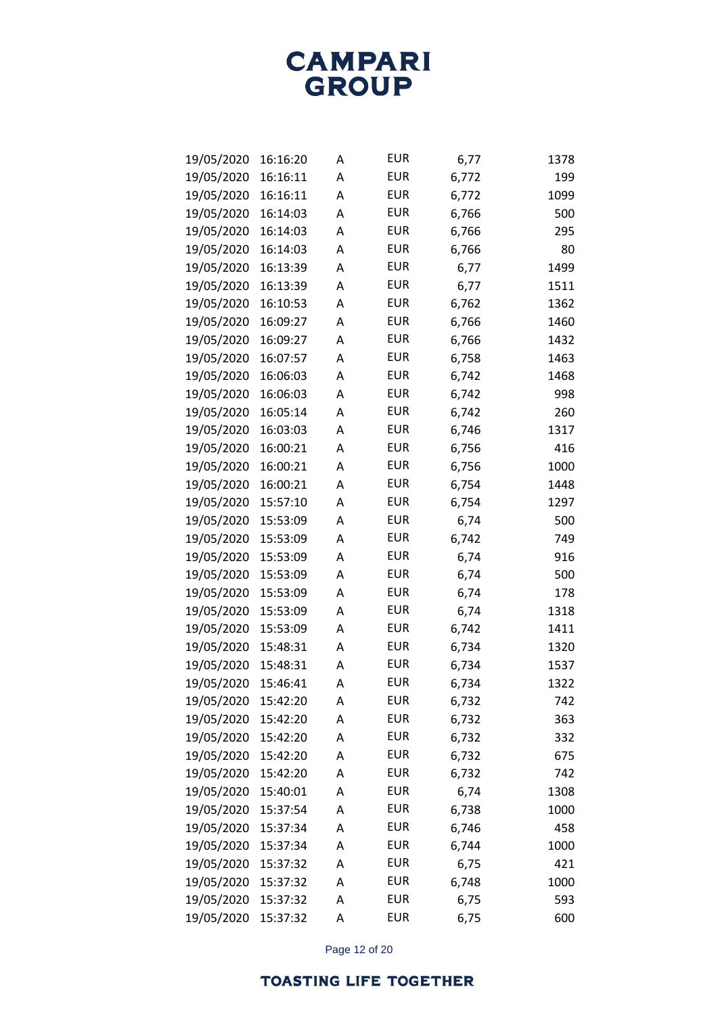| 19/05/2020 | 16:16:20 | А | <b>EUR</b> | 6,77  | 1378 |
|------------|----------|---|------------|-------|------|
| 19/05/2020 | 16:16:11 | Α | <b>EUR</b> | 6,772 | 199  |
| 19/05/2020 | 16:16:11 | А | <b>EUR</b> | 6,772 | 1099 |
| 19/05/2020 | 16:14:03 | Α | <b>EUR</b> | 6,766 | 500  |
| 19/05/2020 | 16:14:03 | Α | <b>EUR</b> | 6,766 | 295  |
| 19/05/2020 | 16:14:03 | А | <b>EUR</b> | 6,766 | 80   |
| 19/05/2020 | 16:13:39 | А | <b>EUR</b> | 6,77  | 1499 |
| 19/05/2020 | 16:13:39 | A | <b>EUR</b> | 6,77  | 1511 |
| 19/05/2020 | 16:10:53 | А | <b>EUR</b> | 6,762 | 1362 |
| 19/05/2020 | 16:09:27 | А | <b>EUR</b> | 6,766 | 1460 |
| 19/05/2020 | 16:09:27 | A | <b>EUR</b> | 6,766 | 1432 |
| 19/05/2020 | 16:07:57 | A | <b>EUR</b> | 6,758 | 1463 |
| 19/05/2020 | 16:06:03 | А | <b>EUR</b> | 6,742 | 1468 |
| 19/05/2020 | 16:06:03 | А | <b>EUR</b> | 6,742 | 998  |
| 19/05/2020 | 16:05:14 | А | <b>EUR</b> | 6,742 | 260  |
| 19/05/2020 | 16:03:03 | A | <b>EUR</b> | 6,746 | 1317 |
| 19/05/2020 | 16:00:21 | А | <b>EUR</b> | 6,756 | 416  |
| 19/05/2020 | 16:00:21 | А | <b>EUR</b> | 6,756 | 1000 |
| 19/05/2020 | 16:00:21 | А | <b>EUR</b> | 6,754 | 1448 |
| 19/05/2020 | 15:57:10 | A | <b>EUR</b> | 6,754 | 1297 |
| 19/05/2020 | 15:53:09 | А | <b>EUR</b> | 6,74  | 500  |
| 19/05/2020 | 15:53:09 | А | <b>EUR</b> | 6,742 | 749  |
| 19/05/2020 | 15:53:09 | Α | <b>EUR</b> | 6,74  | 916  |
| 19/05/2020 | 15:53:09 | A | <b>EUR</b> | 6,74  | 500  |
| 19/05/2020 | 15:53:09 | Α | <b>EUR</b> | 6,74  | 178  |
| 19/05/2020 | 15:53:09 | А | <b>EUR</b> | 6,74  | 1318 |
| 19/05/2020 | 15:53:09 | Α | <b>EUR</b> | 6,742 | 1411 |
| 19/05/2020 | 15:48:31 | A | <b>EUR</b> | 6,734 | 1320 |
| 19/05/2020 | 15:48:31 | Α | <b>EUR</b> | 6,734 | 1537 |
| 19/05/2020 | 15:46:41 | А | <b>EUR</b> | 6,734 | 1322 |
| 19/05/2020 | 15:42:20 | Α | <b>EUR</b> | 6,732 | 742  |
| 19/05/2020 | 15:42:20 | Α | <b>EUR</b> | 6,732 | 363  |
| 19/05/2020 | 15:42:20 | Α | <b>EUR</b> | 6,732 | 332  |
| 19/05/2020 | 15:42:20 | A | <b>EUR</b> | 6,732 | 675  |
| 19/05/2020 | 15:42:20 | А | <b>EUR</b> | 6,732 | 742  |
| 19/05/2020 | 15:40:01 | Α | <b>EUR</b> | 6,74  | 1308 |
| 19/05/2020 | 15:37:54 | Α | <b>EUR</b> | 6,738 | 1000 |
| 19/05/2020 | 15:37:34 | A | <b>EUR</b> | 6,746 | 458  |
| 19/05/2020 | 15:37:34 | Α | <b>EUR</b> | 6,744 | 1000 |
| 19/05/2020 | 15:37:32 | Α | <b>EUR</b> | 6,75  | 421  |
| 19/05/2020 | 15:37:32 | Α | <b>EUR</b> | 6,748 | 1000 |
| 19/05/2020 | 15:37:32 | Α | <b>EUR</b> | 6,75  | 593  |
| 19/05/2020 | 15:37:32 | Α | <b>EUR</b> | 6,75  | 600  |

Page 12 of 20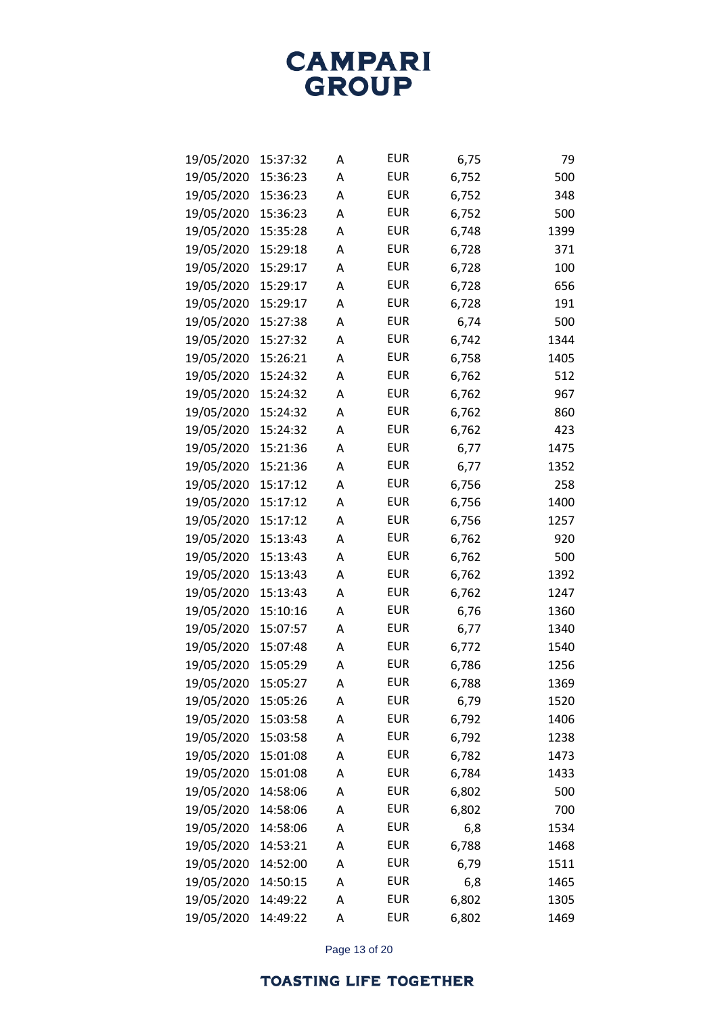| 19/05/2020 | 15:37:32 | Α | <b>EUR</b> | 6,75  | 79   |
|------------|----------|---|------------|-------|------|
| 19/05/2020 | 15:36:23 | Α | <b>EUR</b> | 6,752 | 500  |
| 19/05/2020 | 15:36:23 | Α | <b>EUR</b> | 6,752 | 348  |
| 19/05/2020 | 15:36:23 | Α | <b>EUR</b> | 6,752 | 500  |
| 19/05/2020 | 15:35:28 | Α | <b>EUR</b> | 6,748 | 1399 |
| 19/05/2020 | 15:29:18 | Α | <b>EUR</b> | 6,728 | 371  |
| 19/05/2020 | 15:29:17 | Α | <b>EUR</b> | 6,728 | 100  |
| 19/05/2020 | 15:29:17 | Α | <b>EUR</b> | 6,728 | 656  |
| 19/05/2020 | 15:29:17 | Α | <b>EUR</b> | 6,728 | 191  |
| 19/05/2020 | 15:27:38 | Α | <b>EUR</b> | 6,74  | 500  |
| 19/05/2020 | 15:27:32 | Α | <b>EUR</b> | 6,742 | 1344 |
| 19/05/2020 | 15:26:21 | Α | <b>EUR</b> | 6,758 | 1405 |
| 19/05/2020 | 15:24:32 | Α | <b>EUR</b> | 6,762 | 512  |
| 19/05/2020 | 15:24:32 | Α | <b>EUR</b> | 6,762 | 967  |
| 19/05/2020 | 15:24:32 | Α | <b>EUR</b> | 6,762 | 860  |
| 19/05/2020 | 15:24:32 | Α | <b>EUR</b> | 6,762 | 423  |
| 19/05/2020 | 15:21:36 | Α | <b>EUR</b> | 6,77  | 1475 |
| 19/05/2020 | 15:21:36 | Α | <b>EUR</b> | 6,77  | 1352 |
| 19/05/2020 | 15:17:12 | Α | <b>EUR</b> | 6,756 | 258  |
| 19/05/2020 | 15:17:12 | Α | <b>EUR</b> | 6,756 | 1400 |
| 19/05/2020 | 15:17:12 | Α | <b>EUR</b> | 6,756 | 1257 |
| 19/05/2020 | 15:13:43 | Α | <b>EUR</b> | 6,762 | 920  |
| 19/05/2020 | 15:13:43 | Α | <b>EUR</b> | 6,762 | 500  |
| 19/05/2020 | 15:13:43 | Α | <b>EUR</b> | 6,762 | 1392 |
| 19/05/2020 | 15:13:43 | Α | <b>EUR</b> | 6,762 | 1247 |
| 19/05/2020 | 15:10:16 | Α | <b>EUR</b> | 6,76  | 1360 |
| 19/05/2020 | 15:07:57 | Α | <b>EUR</b> | 6,77  | 1340 |
| 19/05/2020 | 15:07:48 | Α | <b>EUR</b> | 6,772 | 1540 |
| 19/05/2020 | 15:05:29 | Α | <b>EUR</b> | 6,786 | 1256 |
| 19/05/2020 | 15:05:27 | Α | <b>EUR</b> | 6,788 | 1369 |
| 19/05/2020 | 15:05:26 | А | <b>EUR</b> | 6,79  | 1520 |
| 19/05/2020 | 15:03:58 | Α | <b>EUR</b> | 6,792 | 1406 |
| 19/05/2020 | 15:03:58 | А | <b>EUR</b> | 6,792 | 1238 |
| 19/05/2020 | 15:01:08 | А | <b>EUR</b> | 6,782 | 1473 |
| 19/05/2020 | 15:01:08 | А | <b>EUR</b> | 6,784 | 1433 |
| 19/05/2020 | 14:58:06 | Α | <b>EUR</b> | 6,802 | 500  |
| 19/05/2020 | 14:58:06 | А | <b>EUR</b> | 6,802 | 700  |
| 19/05/2020 | 14:58:06 | А | <b>EUR</b> | 6,8   | 1534 |
| 19/05/2020 | 14:53:21 | А | <b>EUR</b> | 6,788 | 1468 |
| 19/05/2020 | 14:52:00 | Α | <b>EUR</b> | 6,79  | 1511 |
| 19/05/2020 | 14:50:15 | А | <b>EUR</b> | 6,8   | 1465 |
| 19/05/2020 | 14:49:22 | А | <b>EUR</b> | 6,802 | 1305 |
| 19/05/2020 | 14:49:22 | А | <b>EUR</b> | 6,802 | 1469 |

Page 13 of 20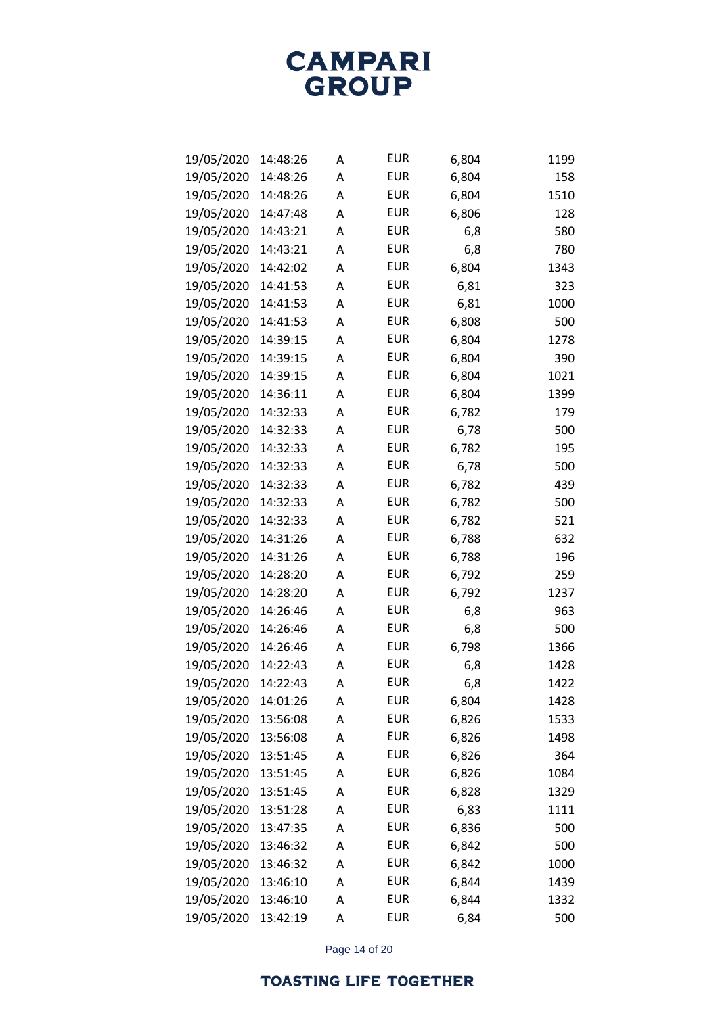| 19/05/2020 | 14:48:26 | Α | <b>EUR</b> | 6,804 | 1199 |
|------------|----------|---|------------|-------|------|
| 19/05/2020 | 14:48:26 | Α | <b>EUR</b> | 6,804 | 158  |
| 19/05/2020 | 14:48:26 | Α | <b>EUR</b> | 6,804 | 1510 |
| 19/05/2020 | 14:47:48 | Α | <b>EUR</b> | 6,806 | 128  |
| 19/05/2020 | 14:43:21 | Α | <b>EUR</b> | 6,8   | 580  |
| 19/05/2020 | 14:43:21 | Α | <b>EUR</b> | 6,8   | 780  |
| 19/05/2020 | 14:42:02 | Α | <b>EUR</b> | 6,804 | 1343 |
| 19/05/2020 | 14:41:53 | Α | <b>EUR</b> | 6,81  | 323  |
| 19/05/2020 | 14:41:53 | Α | <b>EUR</b> | 6,81  | 1000 |
| 19/05/2020 | 14:41:53 | Α | <b>EUR</b> | 6,808 | 500  |
| 19/05/2020 | 14:39:15 | Α | <b>EUR</b> | 6,804 | 1278 |
| 19/05/2020 | 14:39:15 | Α | <b>EUR</b> | 6,804 | 390  |
| 19/05/2020 | 14:39:15 | Α | <b>EUR</b> | 6,804 | 1021 |
| 19/05/2020 | 14:36:11 | Α | <b>EUR</b> | 6,804 | 1399 |
| 19/05/2020 | 14:32:33 | Α | <b>EUR</b> | 6,782 | 179  |
| 19/05/2020 | 14:32:33 | Α | <b>EUR</b> | 6,78  | 500  |
| 19/05/2020 | 14:32:33 | Α | <b>EUR</b> | 6,782 | 195  |
| 19/05/2020 | 14:32:33 | Α | <b>EUR</b> | 6,78  | 500  |
| 19/05/2020 | 14:32:33 | Α | <b>EUR</b> | 6,782 | 439  |
| 19/05/2020 | 14:32:33 | Α | <b>EUR</b> | 6,782 | 500  |
| 19/05/2020 | 14:32:33 | Α | <b>EUR</b> | 6,782 | 521  |
| 19/05/2020 | 14:31:26 | Α | <b>EUR</b> | 6,788 | 632  |
| 19/05/2020 | 14:31:26 | Α | <b>EUR</b> | 6,788 | 196  |
| 19/05/2020 | 14:28:20 | Α | <b>EUR</b> | 6,792 | 259  |
| 19/05/2020 | 14:28:20 | Α | <b>EUR</b> | 6,792 | 1237 |
| 19/05/2020 | 14:26:46 | Α | <b>EUR</b> | 6,8   | 963  |
| 19/05/2020 | 14:26:46 | Α | <b>EUR</b> | 6,8   | 500  |
| 19/05/2020 | 14:26:46 | Α | <b>EUR</b> | 6,798 | 1366 |
| 19/05/2020 | 14:22:43 | Α | <b>EUR</b> | 6,8   | 1428 |
| 19/05/2020 | 14:22:43 | Α | <b>EUR</b> | 6,8   | 1422 |
| 19/05/2020 | 14:01:26 | А | <b>EUR</b> | 6,804 | 1428 |
| 19/05/2020 | 13:56:08 | Α | <b>EUR</b> | 6,826 | 1533 |
| 19/05/2020 | 13:56:08 | А | <b>EUR</b> | 6,826 | 1498 |
| 19/05/2020 | 13:51:45 | Α | <b>EUR</b> | 6,826 | 364  |
| 19/05/2020 | 13:51:45 | Α | <b>EUR</b> | 6,826 | 1084 |
| 19/05/2020 | 13:51:45 | Α | <b>EUR</b> | 6,828 | 1329 |
| 19/05/2020 | 13:51:28 | А | <b>EUR</b> | 6,83  | 1111 |
| 19/05/2020 | 13:47:35 | А | <b>EUR</b> | 6,836 | 500  |
| 19/05/2020 | 13:46:32 | Α | <b>EUR</b> | 6,842 | 500  |
| 19/05/2020 | 13:46:32 | Α | <b>EUR</b> | 6,842 | 1000 |
| 19/05/2020 | 13:46:10 | А | <b>EUR</b> | 6,844 | 1439 |
| 19/05/2020 | 13:46:10 | Α | <b>EUR</b> | 6,844 | 1332 |
| 19/05/2020 | 13:42:19 | А | <b>EUR</b> | 6,84  | 500  |

Page 14 of 20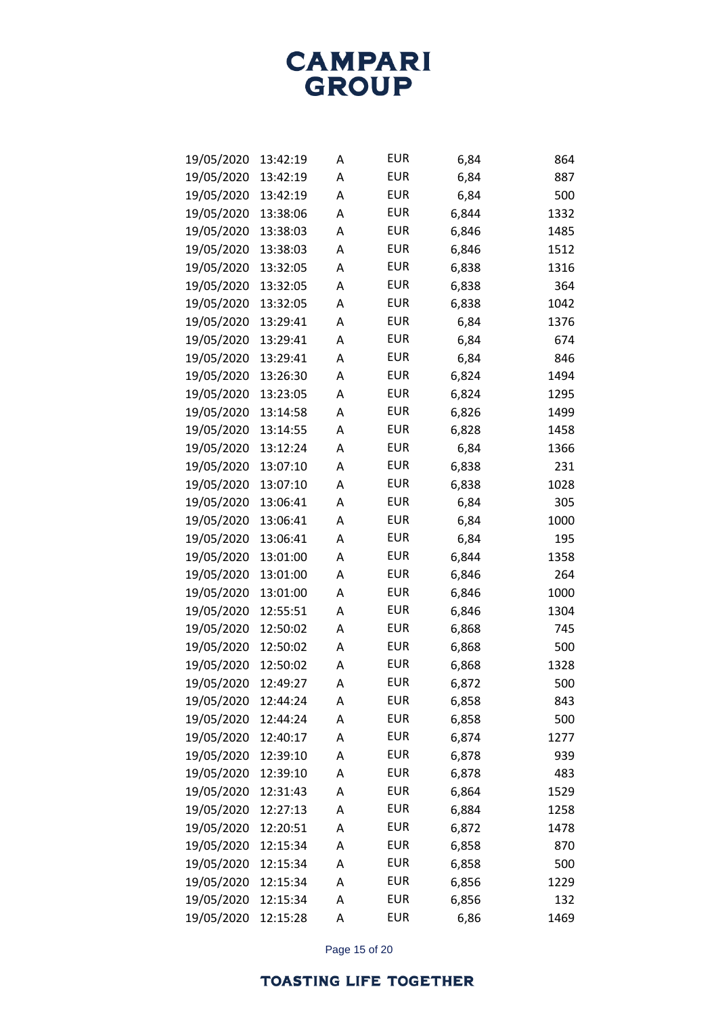| 19/05/2020 | 13:42:19 | Α | <b>EUR</b> | 6,84  | 864  |
|------------|----------|---|------------|-------|------|
| 19/05/2020 | 13:42:19 | Α | <b>EUR</b> | 6,84  | 887  |
| 19/05/2020 | 13:42:19 | Α | <b>EUR</b> | 6,84  | 500  |
| 19/05/2020 | 13:38:06 | Α | <b>EUR</b> | 6,844 | 1332 |
| 19/05/2020 | 13:38:03 | Α | <b>EUR</b> | 6,846 | 1485 |
| 19/05/2020 | 13:38:03 | Α | <b>EUR</b> | 6,846 | 1512 |
| 19/05/2020 | 13:32:05 | Α | <b>EUR</b> | 6,838 | 1316 |
| 19/05/2020 | 13:32:05 | Α | <b>EUR</b> | 6,838 | 364  |
| 19/05/2020 | 13:32:05 | Α | <b>EUR</b> | 6,838 | 1042 |
| 19/05/2020 | 13:29:41 | Α | <b>EUR</b> | 6,84  | 1376 |
| 19/05/2020 | 13:29:41 | Α | <b>EUR</b> | 6,84  | 674  |
| 19/05/2020 | 13:29:41 | Α | <b>EUR</b> | 6,84  | 846  |
| 19/05/2020 | 13:26:30 | Α | <b>EUR</b> | 6,824 | 1494 |
| 19/05/2020 | 13:23:05 | Α | <b>EUR</b> | 6,824 | 1295 |
| 19/05/2020 | 13:14:58 | Α | <b>EUR</b> | 6,826 | 1499 |
| 19/05/2020 | 13:14:55 | Α | <b>EUR</b> | 6,828 | 1458 |
| 19/05/2020 | 13:12:24 | Α | <b>EUR</b> | 6,84  | 1366 |
| 19/05/2020 | 13:07:10 | Α | <b>EUR</b> | 6,838 | 231  |
| 19/05/2020 | 13:07:10 | Α | <b>EUR</b> | 6,838 | 1028 |
| 19/05/2020 | 13:06:41 | Α | <b>EUR</b> | 6,84  | 305  |
| 19/05/2020 | 13:06:41 | Α | <b>EUR</b> | 6,84  | 1000 |
| 19/05/2020 | 13:06:41 | Α | <b>EUR</b> | 6,84  | 195  |
| 19/05/2020 | 13:01:00 | Α | <b>EUR</b> | 6,844 | 1358 |
| 19/05/2020 | 13:01:00 | Α | <b>EUR</b> | 6,846 | 264  |
| 19/05/2020 | 13:01:00 | Α | <b>EUR</b> | 6,846 | 1000 |
| 19/05/2020 | 12:55:51 | Α | <b>EUR</b> | 6,846 | 1304 |
| 19/05/2020 | 12:50:02 | Α | <b>EUR</b> | 6,868 | 745  |
| 19/05/2020 | 12:50:02 | Α | <b>EUR</b> | 6,868 | 500  |
| 19/05/2020 | 12:50:02 | Α | <b>EUR</b> | 6,868 | 1328 |
| 19/05/2020 | 12:49:27 | Α | <b>EUR</b> | 6,872 | 500  |
| 19/05/2020 | 12:44:24 | Α | <b>EUR</b> | 6,858 | 843  |
| 19/05/2020 | 12:44:24 | Α | <b>EUR</b> | 6,858 | 500  |
| 19/05/2020 | 12:40:17 | А | <b>EUR</b> | 6,874 | 1277 |
| 19/05/2020 | 12:39:10 | Α | <b>EUR</b> | 6,878 | 939  |
| 19/05/2020 | 12:39:10 | А | <b>EUR</b> | 6,878 | 483  |
| 19/05/2020 | 12:31:43 | Α | <b>EUR</b> | 6,864 | 1529 |
| 19/05/2020 | 12:27:13 | А | <b>EUR</b> | 6,884 | 1258 |
| 19/05/2020 | 12:20:51 | А | <b>EUR</b> | 6,872 | 1478 |
| 19/05/2020 | 12:15:34 | А | <b>EUR</b> | 6,858 | 870  |
| 19/05/2020 | 12:15:34 | Α | <b>EUR</b> | 6,858 | 500  |
| 19/05/2020 | 12:15:34 | А | <b>EUR</b> | 6,856 | 1229 |
| 19/05/2020 | 12:15:34 | А | <b>EUR</b> | 6,856 | 132  |
| 19/05/2020 | 12:15:28 | А | <b>EUR</b> | 6,86  | 1469 |

Page 15 of 20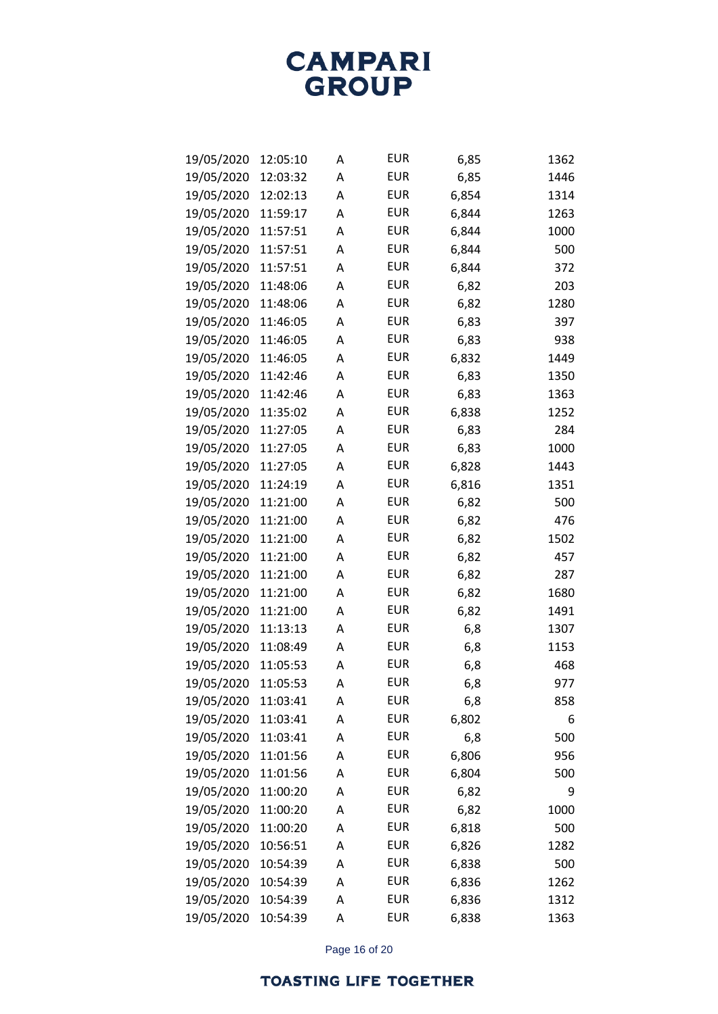| 19/05/2020 | 12:05:10 | Α | <b>EUR</b> | 6,85  | 1362 |
|------------|----------|---|------------|-------|------|
| 19/05/2020 | 12:03:32 | Α | <b>EUR</b> | 6,85  | 1446 |
| 19/05/2020 | 12:02:13 | Α | <b>EUR</b> | 6,854 | 1314 |
| 19/05/2020 | 11:59:17 | Α | <b>EUR</b> | 6,844 | 1263 |
| 19/05/2020 | 11:57:51 | Α | <b>EUR</b> | 6,844 | 1000 |
| 19/05/2020 | 11:57:51 | Α | <b>EUR</b> | 6,844 | 500  |
| 19/05/2020 | 11:57:51 | Α | <b>EUR</b> | 6,844 | 372  |
| 19/05/2020 | 11:48:06 | Α | <b>EUR</b> | 6,82  | 203  |
| 19/05/2020 | 11:48:06 | Α | <b>EUR</b> | 6,82  | 1280 |
| 19/05/2020 | 11:46:05 | Α | <b>EUR</b> | 6,83  | 397  |
| 19/05/2020 | 11:46:05 | Α | <b>EUR</b> | 6,83  | 938  |
| 19/05/2020 | 11:46:05 | Α | <b>EUR</b> | 6,832 | 1449 |
| 19/05/2020 | 11:42:46 | Α | <b>EUR</b> | 6,83  | 1350 |
| 19/05/2020 | 11:42:46 | Α | <b>EUR</b> | 6,83  | 1363 |
| 19/05/2020 | 11:35:02 | Α | <b>EUR</b> | 6,838 | 1252 |
| 19/05/2020 | 11:27:05 | Α | <b>EUR</b> | 6,83  | 284  |
| 19/05/2020 | 11:27:05 | Α | <b>EUR</b> | 6,83  | 1000 |
| 19/05/2020 | 11:27:05 | Α | <b>EUR</b> | 6,828 | 1443 |
| 19/05/2020 | 11:24:19 | Α | <b>EUR</b> | 6,816 | 1351 |
| 19/05/2020 | 11:21:00 | Α | <b>EUR</b> | 6,82  | 500  |
| 19/05/2020 | 11:21:00 | Α | <b>EUR</b> | 6,82  | 476  |
| 19/05/2020 | 11:21:00 | Α | <b>EUR</b> | 6,82  | 1502 |
| 19/05/2020 | 11:21:00 | Α | <b>EUR</b> | 6,82  | 457  |
| 19/05/2020 | 11:21:00 | Α | <b>EUR</b> | 6,82  | 287  |
| 19/05/2020 | 11:21:00 | Α | <b>EUR</b> | 6,82  | 1680 |
| 19/05/2020 | 11:21:00 | Α | <b>EUR</b> | 6,82  | 1491 |
| 19/05/2020 | 11:13:13 | Α | <b>EUR</b> | 6,8   | 1307 |
| 19/05/2020 | 11:08:49 | Α | <b>EUR</b> | 6,8   | 1153 |
| 19/05/2020 | 11:05:53 | Α | <b>EUR</b> | 6,8   | 468  |
| 19/05/2020 | 11:05:53 | Α | <b>EUR</b> | 6,8   | 977  |
| 19/05/2020 | 11:03:41 | А | <b>EUR</b> | 6,8   | 858  |
| 19/05/2020 | 11:03:41 | Α | <b>EUR</b> | 6,802 | 6    |
| 19/05/2020 | 11:03:41 | А | <b>EUR</b> | 6,8   | 500  |
| 19/05/2020 | 11:01:56 | Α | <b>EUR</b> | 6,806 | 956  |
| 19/05/2020 | 11:01:56 | А | <b>EUR</b> | 6,804 | 500  |
| 19/05/2020 | 11:00:20 | Α | <b>EUR</b> | 6,82  | 9    |
| 19/05/2020 | 11:00:20 | А | <b>EUR</b> | 6,82  | 1000 |
| 19/05/2020 | 11:00:20 | А | <b>EUR</b> | 6,818 | 500  |
| 19/05/2020 | 10:56:51 | А | <b>EUR</b> | 6,826 | 1282 |
| 19/05/2020 | 10:54:39 | Α | <b>EUR</b> | 6,838 | 500  |
| 19/05/2020 | 10:54:39 | Α | <b>EUR</b> | 6,836 | 1262 |
| 19/05/2020 | 10:54:39 | А | <b>EUR</b> | 6,836 | 1312 |
| 19/05/2020 | 10:54:39 | А | <b>EUR</b> | 6,838 | 1363 |

Page 16 of 20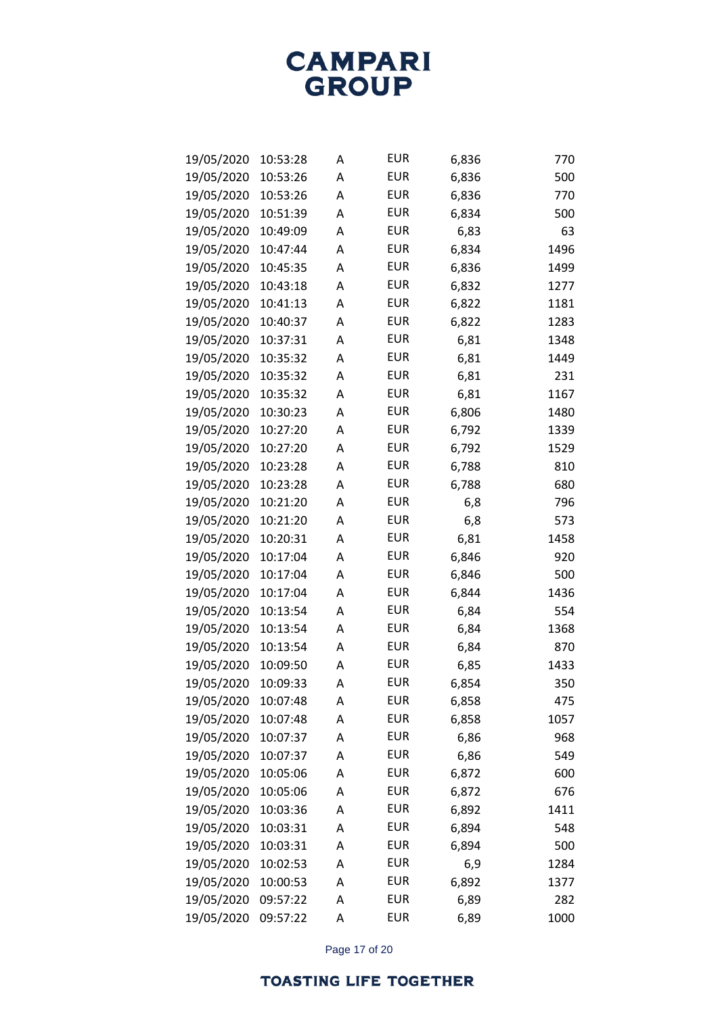| 19/05/2020 | 10:53:28 | Α | <b>EUR</b> | 6,836 | 770  |
|------------|----------|---|------------|-------|------|
| 19/05/2020 | 10:53:26 | Α | <b>EUR</b> | 6,836 | 500  |
| 19/05/2020 | 10:53:26 | Α | <b>EUR</b> | 6,836 | 770  |
| 19/05/2020 | 10:51:39 | Α | <b>EUR</b> | 6,834 | 500  |
| 19/05/2020 | 10:49:09 | Α | <b>EUR</b> | 6,83  | 63   |
| 19/05/2020 | 10:47:44 | Α | <b>EUR</b> | 6,834 | 1496 |
| 19/05/2020 | 10:45:35 | Α | <b>EUR</b> | 6,836 | 1499 |
| 19/05/2020 | 10:43:18 | Α | <b>EUR</b> | 6,832 | 1277 |
| 19/05/2020 | 10:41:13 | Α | <b>EUR</b> | 6,822 | 1181 |
| 19/05/2020 | 10:40:37 | Α | <b>EUR</b> | 6,822 | 1283 |
| 19/05/2020 | 10:37:31 | Α | <b>EUR</b> | 6,81  | 1348 |
| 19/05/2020 | 10:35:32 | Α | <b>EUR</b> | 6,81  | 1449 |
| 19/05/2020 | 10:35:32 | Α | <b>EUR</b> | 6,81  | 231  |
| 19/05/2020 | 10:35:32 | Α | <b>EUR</b> | 6,81  | 1167 |
| 19/05/2020 | 10:30:23 | Α | <b>EUR</b> | 6,806 | 1480 |
| 19/05/2020 | 10:27:20 | Α | <b>EUR</b> | 6,792 | 1339 |
| 19/05/2020 | 10:27:20 | Α | <b>EUR</b> | 6,792 | 1529 |
| 19/05/2020 | 10:23:28 | Α | <b>EUR</b> | 6,788 | 810  |
| 19/05/2020 | 10:23:28 | Α | <b>EUR</b> | 6,788 | 680  |
| 19/05/2020 | 10:21:20 | Α | <b>EUR</b> | 6,8   | 796  |
| 19/05/2020 | 10:21:20 | Α | <b>EUR</b> | 6,8   | 573  |
| 19/05/2020 | 10:20:31 | Α | <b>EUR</b> | 6,81  | 1458 |
| 19/05/2020 | 10:17:04 | Α | <b>EUR</b> | 6,846 | 920  |
| 19/05/2020 | 10:17:04 | Α | <b>EUR</b> | 6,846 | 500  |
| 19/05/2020 | 10:17:04 | Α | <b>EUR</b> | 6,844 | 1436 |
| 19/05/2020 | 10:13:54 | Α | <b>EUR</b> | 6,84  | 554  |
| 19/05/2020 | 10:13:54 | Α | <b>EUR</b> | 6,84  | 1368 |
| 19/05/2020 | 10:13:54 | Α | <b>EUR</b> | 6,84  | 870  |
| 19/05/2020 | 10:09:50 | Α | <b>EUR</b> | 6,85  | 1433 |
| 19/05/2020 | 10:09:33 | Α | <b>EUR</b> | 6,854 | 350  |
| 19/05/2020 | 10:07:48 | А | <b>EUR</b> | 6,858 | 475  |
| 19/05/2020 | 10:07:48 | А | <b>EUR</b> | 6,858 | 1057 |
| 19/05/2020 | 10:07:37 | А | <b>EUR</b> | 6,86  | 968  |
| 19/05/2020 | 10:07:37 | Α | <b>EUR</b> | 6,86  | 549  |
| 19/05/2020 | 10:05:06 | А | <b>EUR</b> | 6,872 | 600  |
| 19/05/2020 | 10:05:06 | Α | <b>EUR</b> | 6,872 | 676  |
| 19/05/2020 | 10:03:36 | А | <b>EUR</b> | 6,892 | 1411 |
| 19/05/2020 | 10:03:31 | А | <b>EUR</b> | 6,894 | 548  |
| 19/05/2020 | 10:03:31 | А | <b>EUR</b> | 6,894 | 500  |
| 19/05/2020 | 10:02:53 | Α | <b>EUR</b> | 6,9   | 1284 |
| 19/05/2020 | 10:00:53 | А | <b>EUR</b> | 6,892 | 1377 |
| 19/05/2020 | 09:57:22 | А | <b>EUR</b> | 6,89  | 282  |
| 19/05/2020 | 09:57:22 | А | <b>EUR</b> | 6,89  | 1000 |

Page 17 of 20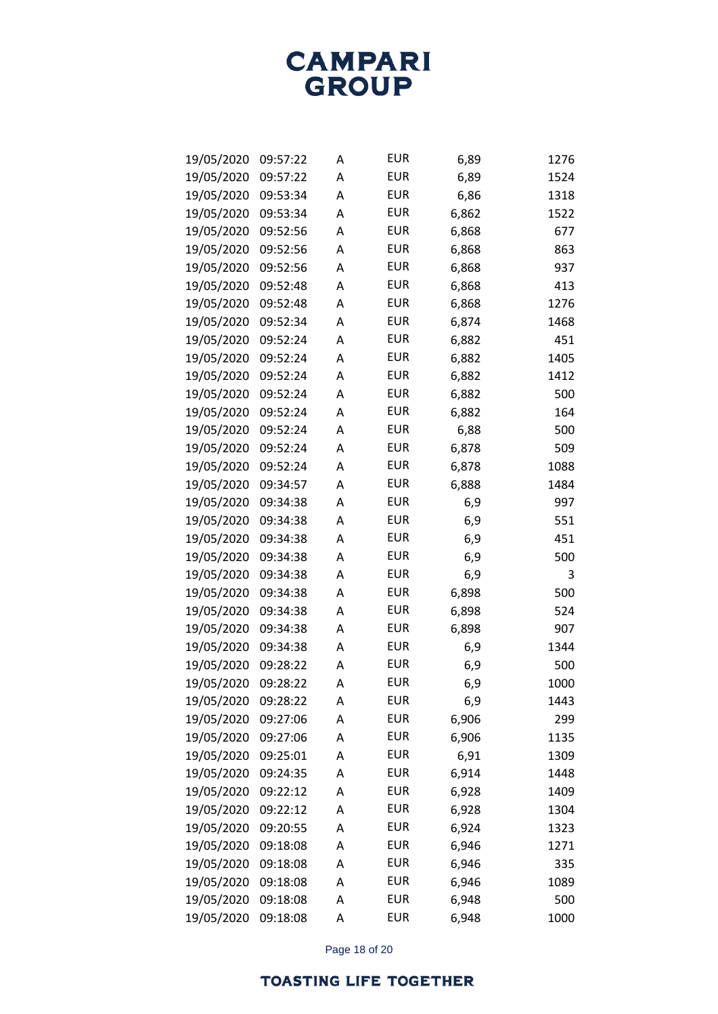| 19/05/2020 | 09:57:22 | Α | <b>EUR</b> | 6,89  | 1276 |
|------------|----------|---|------------|-------|------|
| 19/05/2020 | 09:57:22 | Α | <b>EUR</b> | 6,89  | 1524 |
| 19/05/2020 | 09:53:34 | А | <b>EUR</b> | 6,86  | 1318 |
| 19/05/2020 | 09:53:34 | Α | <b>EUR</b> | 6,862 | 1522 |
| 19/05/2020 | 09:52:56 | Α | <b>EUR</b> | 6,868 | 677  |
| 19/05/2020 | 09:52:56 | А | <b>EUR</b> | 6,868 | 863  |
| 19/05/2020 | 09:52:56 | A | <b>EUR</b> | 6,868 | 937  |
| 19/05/2020 | 09:52:48 | A | <b>EUR</b> | 6,868 | 413  |
| 19/05/2020 | 09:52:48 | А | <b>EUR</b> | 6,868 | 1276 |
| 19/05/2020 | 09:52:34 | А | <b>EUR</b> | 6,874 | 1468 |
| 19/05/2020 | 09:52:24 | А | <b>EUR</b> | 6,882 | 451  |
| 19/05/2020 | 09:52:24 | A | <b>EUR</b> | 6,882 | 1405 |
| 19/05/2020 | 09:52:24 | А | <b>EUR</b> | 6,882 | 1412 |
| 19/05/2020 | 09:52:24 | А | <b>EUR</b> | 6,882 | 500  |
| 19/05/2020 | 09:52:24 | А | <b>EUR</b> | 6,882 | 164  |
| 19/05/2020 | 09:52:24 | A | <b>EUR</b> | 6,88  | 500  |
| 19/05/2020 | 09:52:24 | А | <b>EUR</b> | 6,878 | 509  |
| 19/05/2020 | 09:52:24 | А | <b>EUR</b> | 6,878 | 1088 |
| 19/05/2020 | 09:34:57 | A | <b>EUR</b> | 6,888 | 1484 |
| 19/05/2020 | 09:34:38 | A | <b>EUR</b> | 6,9   | 997  |
| 19/05/2020 | 09:34:38 | А | <b>EUR</b> | 6,9   | 551  |
| 19/05/2020 | 09:34:38 | А | <b>EUR</b> | 6,9   | 451  |
| 19/05/2020 | 09:34:38 | Α | <b>EUR</b> | 6,9   | 500  |
| 19/05/2020 | 09:34:38 | A | <b>EUR</b> | 6,9   | 3    |
| 19/05/2020 | 09:34:38 | Α | <b>EUR</b> | 6,898 | 500  |
| 19/05/2020 | 09:34:38 | А | <b>EUR</b> | 6,898 | 524  |
| 19/05/2020 | 09:34:38 | Α | <b>EUR</b> | 6,898 | 907  |
| 19/05/2020 | 09:34:38 | A | <b>EUR</b> | 6,9   | 1344 |
| 19/05/2020 | 09:28:22 | Α | <b>EUR</b> | 6,9   | 500  |
| 19/05/2020 | 09:28:22 | А | <b>EUR</b> | 6,9   | 1000 |
| 19/05/2020 | 09:28:22 | Α | <b>EUR</b> | 6,9   | 1443 |
| 19/05/2020 | 09:27:06 | A | <b>EUR</b> | 6,906 | 299  |
| 19/05/2020 | 09:27:06 | Α | <b>EUR</b> | 6,906 | 1135 |
| 19/05/2020 | 09:25:01 | A | <b>EUR</b> | 6,91  | 1309 |
| 19/05/2020 | 09:24:35 | А | <b>EUR</b> | 6,914 | 1448 |
| 19/05/2020 | 09:22:12 | A | <b>EUR</b> | 6,928 | 1409 |
| 19/05/2020 | 09:22:12 | Α | <b>EUR</b> | 6,928 | 1304 |
| 19/05/2020 | 09:20:55 | A | <b>EUR</b> | 6,924 | 1323 |
| 19/05/2020 | 09:18:08 | Α | <b>EUR</b> | 6,946 | 1271 |
| 19/05/2020 | 09:18:08 | A | <b>EUR</b> | 6,946 | 335  |
| 19/05/2020 | 09:18:08 | Α | <b>EUR</b> | 6,946 | 1089 |
| 19/05/2020 | 09:18:08 | A | <b>EUR</b> | 6,948 | 500  |
| 19/05/2020 | 09:18:08 | Α | <b>EUR</b> | 6,948 | 1000 |

Page 18 of 20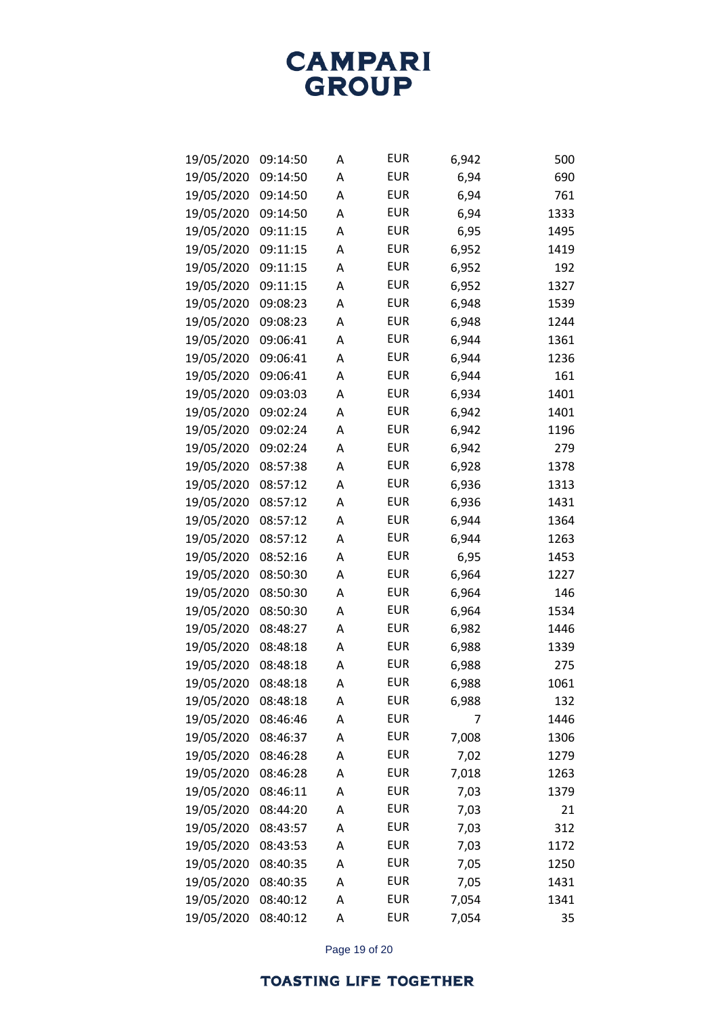| 19/05/2020 | 09:14:50 | Α | <b>EUR</b> | 6,942 | 500  |
|------------|----------|---|------------|-------|------|
| 19/05/2020 | 09:14:50 | А | <b>EUR</b> | 6,94  | 690  |
| 19/05/2020 | 09:14:50 | А | <b>EUR</b> | 6,94  | 761  |
| 19/05/2020 | 09:14:50 | Α | <b>EUR</b> | 6,94  | 1333 |
| 19/05/2020 | 09:11:15 | Α | <b>EUR</b> | 6,95  | 1495 |
| 19/05/2020 | 09:11:15 | Α | <b>EUR</b> | 6,952 | 1419 |
| 19/05/2020 | 09:11:15 | А | <b>EUR</b> | 6,952 | 192  |
| 19/05/2020 | 09:11:15 | А | <b>EUR</b> | 6,952 | 1327 |
| 19/05/2020 | 09:08:23 | Α | <b>EUR</b> | 6,948 | 1539 |
| 19/05/2020 | 09:08:23 | Α | <b>EUR</b> | 6,948 | 1244 |
| 19/05/2020 | 09:06:41 | А | <b>EUR</b> | 6,944 | 1361 |
| 19/05/2020 | 09:06:41 | А | <b>EUR</b> | 6,944 | 1236 |
| 19/05/2020 | 09:06:41 | Α | <b>EUR</b> | 6,944 | 161  |
| 19/05/2020 | 09:03:03 | Α | <b>EUR</b> | 6,934 | 1401 |
| 19/05/2020 | 09:02:24 | А | <b>EUR</b> | 6,942 | 1401 |
| 19/05/2020 | 09:02:24 | А | <b>EUR</b> | 6,942 | 1196 |
| 19/05/2020 | 09:02:24 | А | <b>EUR</b> | 6,942 | 279  |
| 19/05/2020 | 08:57:38 | Α | <b>EUR</b> | 6,928 | 1378 |
| 19/05/2020 | 08:57:12 | А | <b>EUR</b> | 6,936 | 1313 |
| 19/05/2020 | 08:57:12 | А | <b>EUR</b> | 6,936 | 1431 |
| 19/05/2020 | 08:57:12 | Α | <b>EUR</b> | 6,944 | 1364 |
| 19/05/2020 | 08:57:12 | Α | <b>EUR</b> | 6,944 | 1263 |
| 19/05/2020 | 08:52:16 | А | <b>EUR</b> | 6,95  | 1453 |
| 19/05/2020 | 08:50:30 | А | <b>EUR</b> | 6,964 | 1227 |
| 19/05/2020 | 08:50:30 | А | <b>EUR</b> | 6,964 | 146  |
| 19/05/2020 | 08:50:30 | Α | <b>EUR</b> | 6,964 | 1534 |
| 19/05/2020 | 08:48:27 | А | <b>EUR</b> | 6,982 | 1446 |
| 19/05/2020 | 08:48:18 | А | <b>EUR</b> | 6,988 | 1339 |
| 19/05/2020 | 08:48:18 | А | <b>EUR</b> | 6,988 | 275  |
| 19/05/2020 | 08:48:18 | А | <b>EUR</b> | 6,988 | 1061 |
| 19/05/2020 | 08:48:18 | Α | <b>EUR</b> | 6,988 | 132  |
| 19/05/2020 | 08:46:46 | А | <b>EUR</b> | 7     | 1446 |
| 19/05/2020 | 08:46:37 | А | <b>EUR</b> | 7,008 | 1306 |
| 19/05/2020 | 08:46:28 | А | <b>EUR</b> | 7,02  | 1279 |
| 19/05/2020 | 08:46:28 | А | <b>EUR</b> | 7,018 | 1263 |
| 19/05/2020 | 08:46:11 | А | <b>EUR</b> | 7,03  | 1379 |
| 19/05/2020 | 08:44:20 | А | <b>EUR</b> | 7,03  | 21   |
| 19/05/2020 | 08:43:57 | А | <b>EUR</b> | 7,03  | 312  |
| 19/05/2020 | 08:43:53 | А | <b>EUR</b> | 7,03  | 1172 |
| 19/05/2020 | 08:40:35 | А | <b>EUR</b> | 7,05  | 1250 |
| 19/05/2020 | 08:40:35 | А | <b>EUR</b> | 7,05  | 1431 |
| 19/05/2020 | 08:40:12 | А | <b>EUR</b> | 7,054 | 1341 |
| 19/05/2020 | 08:40:12 | Α | <b>EUR</b> | 7,054 | 35   |

Page 19 of 20